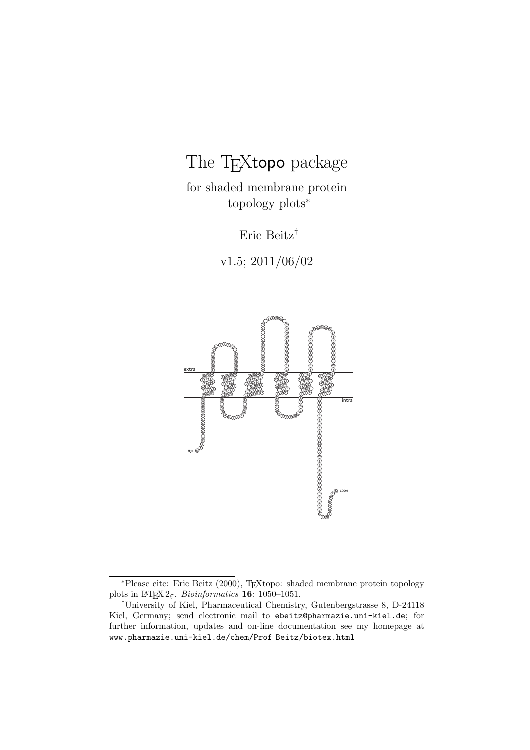# The TEXtopo package

for shaded membrane protein topology plots<sup>∗</sup>

Eric Beitz†

v1.5; 2011/06/02



<sup>∗</sup>Please cite: Eric Beitz (2000), TEXtopo: shaded membrane protein topology plots in  $\text{LATEX2}_{\epsilon}$ . *Bioinformatics* **16**: 1050-1051.

<sup>†</sup>University of Kiel, Pharmaceutical Chemistry, Gutenbergstrasse 8, D-24118 Kiel, Germany; send electronic mail to ebeitz@pharmazie.uni-kiel.de; for further information, updates and on-line documentation see my homepage at www.pharmazie.uni-kiel.de/chem/Prof Beitz/biotex.html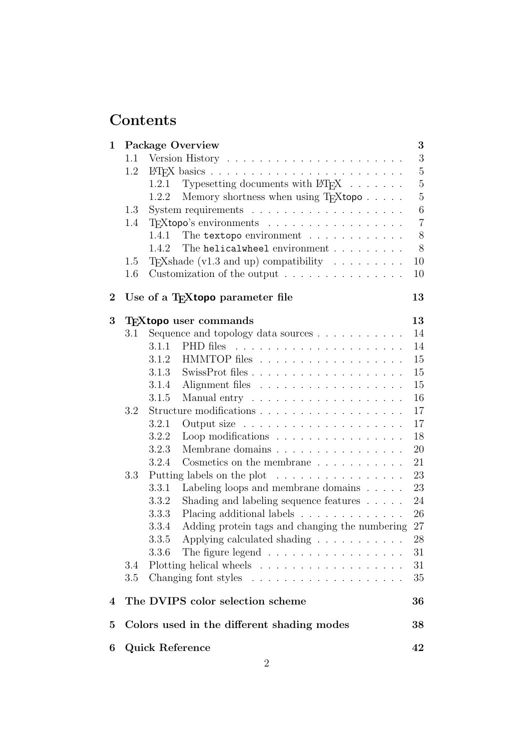# Contents

| 1        |     | <b>Package Overview</b>                                                  | 3              |
|----------|-----|--------------------------------------------------------------------------|----------------|
|          | 1.1 |                                                                          | 3              |
|          | 1.2 |                                                                          | $\overline{5}$ |
|          |     | Typesetting documents with $\text{BTr}X \dots \dots$<br>1.2.1            | $\overline{5}$ |
|          |     | Memory shortness when using T <sub>F</sub> Xtopo<br>1.2.2                | $\overline{5}$ |
|          | 1.3 |                                                                          | $\,6$          |
|          | 1.4 | T <sub>F</sub> Xtopo's environments                                      | $\overline{7}$ |
|          |     | The textopo environment<br>1.4.1                                         | $8\,$          |
|          |     | The helicalwheel environment<br>1.4.2                                    | 8              |
|          | 1.5 | T <sub>E</sub> Xshade (v1.3 and up) compatibility $\ldots \ldots \ldots$ | 10             |
|          | 1.6 | Customization of the output $\dots \dots \dots \dots \dots$              | 10             |
| $\bf{2}$ |     | Use of a T <sub>F</sub> Xtopo parameter file                             | 13             |
| 3        |     | <b>T<sub>F</sub>X</b> topo user commands                                 | 13             |
|          | 3.1 |                                                                          | 14             |
|          |     | 3.1.1                                                                    | 14             |
|          |     | 3.1.2                                                                    | 15             |
|          |     | 3.1.3                                                                    | 15             |
|          |     | 3.1.4                                                                    | 15             |
|          |     | 3.1.5                                                                    | 16             |
|          | 3.2 |                                                                          | 17             |
|          |     | 3.2.1<br>Output size $\ldots \ldots \ldots \ldots \ldots \ldots$         | 17             |
|          |     | Loop modifications $\ldots \ldots \ldots \ldots \ldots$<br>3.2.2         | 18             |
|          |     | 3.2.3<br>Membrane domains $\ldots \ldots \ldots \ldots \ldots$           | 20             |
|          |     | Cosmetics on the membrane $\ldots \ldots \ldots$<br>3.2.4                | 21             |
|          | 3.3 | Putting labels on the plot $\dots \dots \dots \dots \dots$               | 23             |
|          |     | Labeling loops and membrane domains $\ldots$ .<br>3.3.1                  | 23             |
|          |     | Shading and labeling sequence features<br>3.3.2                          | 24             |
|          |     | Placing additional labels<br>3.3.3                                       | 26             |
|          |     | Adding protein tags and changing the numbering<br>3.3.4                  | 27             |
|          |     | Applying calculated shading $\ldots \ldots \ldots \ldots$<br>3.3.5       | $28\,$         |
|          |     | The figure legend<br>3.3.6                                               | 31             |
|          | 3.4 |                                                                          | 31             |
|          | 3.5 |                                                                          | 35             |
| 4        |     | The DVIPS color selection scheme                                         | 36             |
| 5        |     | Colors used in the different shading modes                               | 38             |
| 6        |     | Quick Reference                                                          | 42             |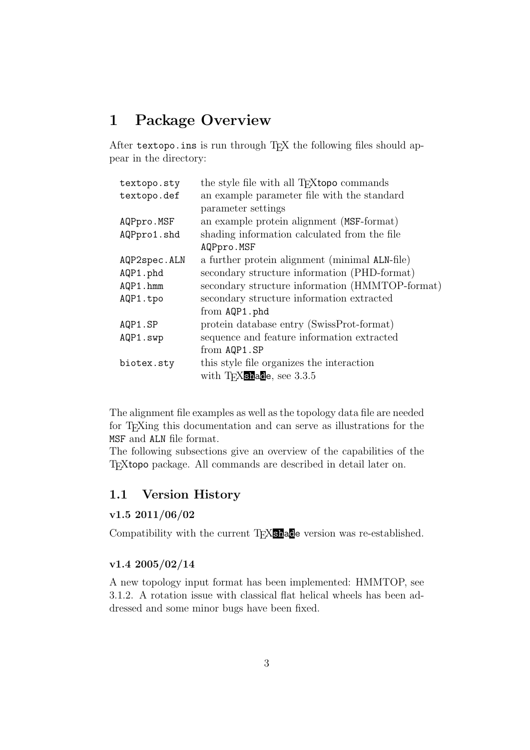## <span id="page-2-0"></span>1 Package Overview

After textopo.ins is run through TFX the following files should appear in the directory:

| textopo.sty  | the style file with all T <sub>F</sub> Xtopo commands |
|--------------|-------------------------------------------------------|
| textopo.def  | an example parameter file with the standard           |
|              | parameter settings                                    |
| AQPpro.MSF   | an example protein alignment (MSF-format)             |
| AQPpro1.shd  | shading information calculated from the file          |
|              | AQPpro.MSF                                            |
| AQP2spec.ALN | a further protein alignment (minimal ALN-file)        |
| AQP1.phd     | secondary structure information (PHD-format)          |
| AQP1.hmm     | secondary structure information (HMMTOP-format)       |
| AQP1.tpo     | secondary structure information extracted             |
|              | from AQP1.phd                                         |
| AQP1.SP      | protein database entry (SwissProt-format)             |
| AQP1.swp     | sequence and feature information extracted            |
|              | from AQP1.SP                                          |
| biotex.sty   | this style file organizes the interaction             |
|              | with $T_F X$ shade, see 3.3.5                         |
|              |                                                       |

The alignment file examples as well as the topology data file are needed for TEXing this documentation and can serve as illustrations for the MSF and ALN file format.

The following subsections give an overview of the capabilities of the TEXtopo package. All commands are described in detail later on.

## <span id="page-2-1"></span>1.1 Version History

## v1.5 2011/06/02

Compatibility with the current T<sub>E</sub>X**shade** version was re-established.

## v1.4 2005/02/14

A new topology input format has been implemented: HMMTOP, see [3.1.2.](#page-14-0) A rotation issue with classical flat helical wheels has been addressed and some minor bugs have been fixed.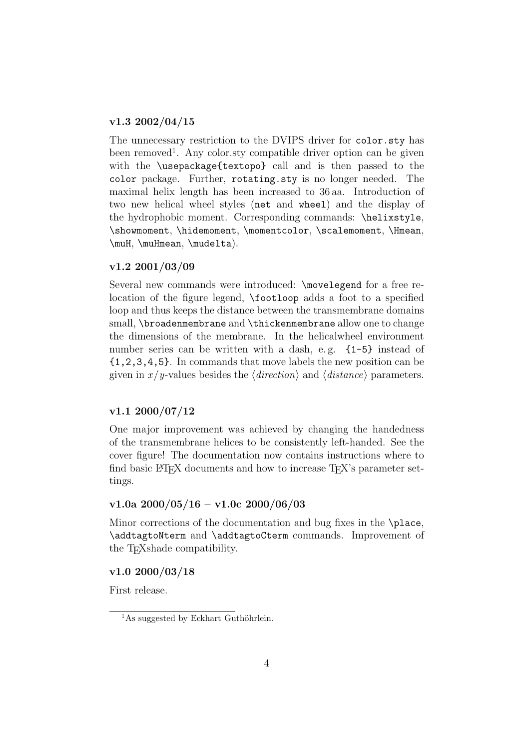## v1.3 2002/04/15

The unnecessary restriction to the DVIPS driver for color.sty has been removed<sup>[1](#page-3-0)</sup>. Any color sty compatible driver option can be given with the \usepackage{textopo} call and is then passed to the color package. Further, rotating.sty is no longer needed. The maximal helix length has been increased to 36 aa. Introduction of two new helical wheel styles (net and wheel) and the display of the hydrophobic moment. Corresponding commands: \helixstyle, \showmoment, \hidemoment, \momentcolor, \scalemoment, \Hmean, \muH, \muHmean, \mudelta).

#### v1.2 2001/03/09

Several new commands were introduced: \movelegend for a free relocation of the figure legend, \footloop adds a foot to a specified loop and thus keeps the distance between the transmembrane domains small, \broadenmembrane and \thickenmembrane allow one to change the dimensions of the membrane. In the helicalwheel environment number series can be written with a dash, e.g.  $\{1-5\}$  instead of {1,2,3,4,5}. In commands that move labels the new position can be given in  $x/y$ -values besides the  $\langle direction \rangle$  and  $\langle distance \rangle$  parameters.

### v1.1 2000/07/12

One major improvement was achieved by changing the handedness of the transmembrane helices to be consistently left-handed. See the cover figure! The documentation now contains instructions where to find basic LAT<sub>EX</sub> documents and how to increase T<sub>EX</sub>'s parameter settings.

#### v1.0a  $2000/05/16 - v1.0c$  2000/06/03

Minor corrections of the documentation and bug fixes in the \place, \addtagtoNterm and \addtagtoCterm commands. Improvement of the T<sub>F</sub>Xshade compatibility.

#### v1.0 2000/03/18

First release.

<span id="page-3-0"></span> $1\text{As suggested by Eckhart Guthöhrlein.}$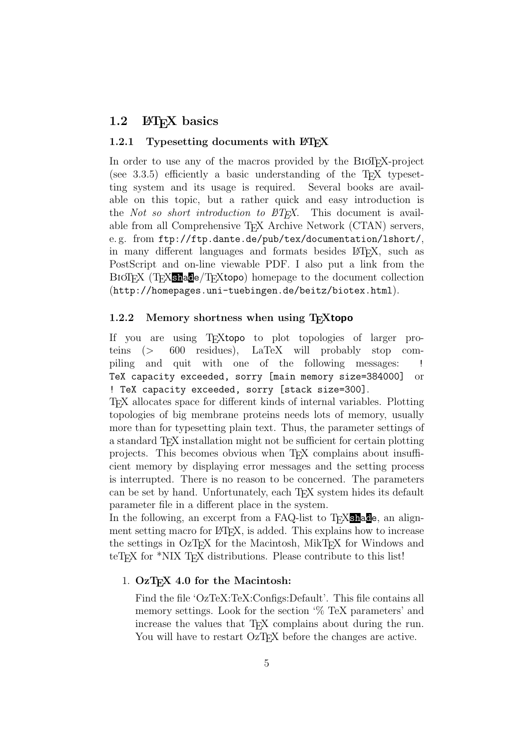## <span id="page-4-0"></span>1.2 LAT<sub>EX</sub> basics

#### <span id="page-4-1"></span>1.2.1 Typesetting documents with  $\text{BTr} X$

In order to use any of the macros provided by the BioTEX-project (see  $3.3.5$ ) efficiently a basic understanding of the T<sub>E</sub>X typesetting system and its usage is required. Several books are available on this topic, but a rather quick and easy introduction is the *Not so short introduction to*  $BT\cancel{F}X$ *.* This document is available from all Comprehensive T<sub>E</sub>X Archive Network (CTAN) servers, e. g. from ftp://ftp.dante.de/pub/tex/documentation/lshort/, in many different languages and formats besides LATEX, such as PostScript and on-line viewable PDF. I also put a link from the BIOTEX (TEX**shade**/TEXtopo) homepage to the document collection (http://homepages.uni-tuebingen.de/beitz/biotex.html).

#### <span id="page-4-2"></span>1.2.2 Memory shortness when using T<sub>E</sub>Xtopo

If you are using T<sub>E</sub>Xtopo to plot topologies of larger pro-<br>teins (> 600 residues), LaTeX will probably stop comteins (> 600 residues), LaTeX will probably stop compiling and quit with one of the following messages: ! TeX capacity exceeded, sorry [main memory size=384000] or ! TeX capacity exceeded, sorry [stack size=300].

TEX allocates space for different kinds of internal variables. Plotting topologies of big membrane proteins needs lots of memory, usually more than for typesetting plain text. Thus, the parameter settings of a standard T<sub>F</sub>X installation might not be sufficient for certain plotting projects. This becomes obvious when T<sub>EX</sub> complains about insufficient memory by displaying error messages and the setting process is interrupted. There is no reason to be concerned. The parameters can be set by hand. Unfortunately, each T<sub>E</sub>X system hides its default parameter file in a different place in the system.

In the following, an excerpt from a FAQ-list to T<sub>E</sub>X<sub>shade</sub>, an alignment setting macro for LAT<sub>EX</sub>, is added. This explains how to increase the settings in OzT<sub>E</sub>X for the Macintosh, MikT<sub>E</sub>X for Windows and teT<sub>EX</sub> for \*NIX T<sub>EX</sub> distributions. Please contribute to this list!

#### 1. OzT<sub>F</sub>X 4.0 for the Macintosh:

Find the file 'OzTeX:TeX:Configs:Default'. This file contains all memory settings. Look for the section '% TeX parameters' and increase the values that T<sub>EX</sub> complains about during the run. You will have to restart OzT<sub>F</sub>X before the changes are active.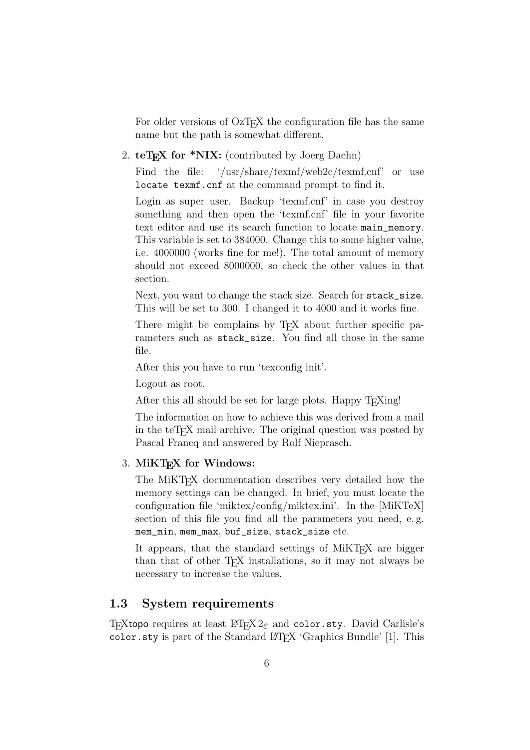For older versions of OzT<sub>EX</sub> the configuration file has the same name but the path is somewhat different.

2. teT<sub>E</sub>X for \*NIX: (contributed by Joerg Daehn)

Find the file: '/usr/share/texmf/web2c/texmf.cnf' or use locate texmf.cnf at the command prompt to find it.

Login as super user. Backup 'texmf.cnf' in case you destroy something and then open the 'texmf.cnf' file in your favorite text editor and use its search function to locate main\_memory. This variable is set to 384000. Change this to some higher value, i.e. 4000000 (works fine for me!). The total amount of memory should not exceed 8000000, so check the other values in that section.

Next, you want to change the stack size. Search for stack\_size. This will be set to 300. I changed it to 4000 and it works fine.

There might be complains by T<sub>E</sub>X about further specific parameters such as stack\_size. You find all those in the same file.

After this you have to run 'texconfig init'.

Logout as root.

After this all should be set for large plots. Happy T<sub>E</sub>Xing!

The information on how to achieve this was derived from a mail in the teT<sub>E</sub>X mail archive. The original question was posted by Pascal Francq and answered by Rolf Nieprasch.

### 3. MiKTFX for Windows:

The MiKT<sub>EX</sub> documentation describes very detailed how the memory settings can be changed. In brief, you must locate the configuration file 'miktex/config/miktex.ini'. In the [MiKTeX] section of this file you find all the parameters you need, e. g. mem\_min, mem\_max, buf\_size, stack\_size etc.

It appears, that the standard settings of MiKT<sub>F</sub>X are bigger than that of other T<sub>E</sub>X installations, so it may not always be necessary to increase the values.

## <span id="page-5-0"></span>1.3 System requirements

T<sub>E</sub>Xtopo requires at least LAT<sub>E</sub>X 2<sub> $\varepsilon$ </sub> and color.sty. David Carlisle's  $color.sty$  is part of the Standard LAT<sub>EX</sub> 'Graphics Bundle' [1]. This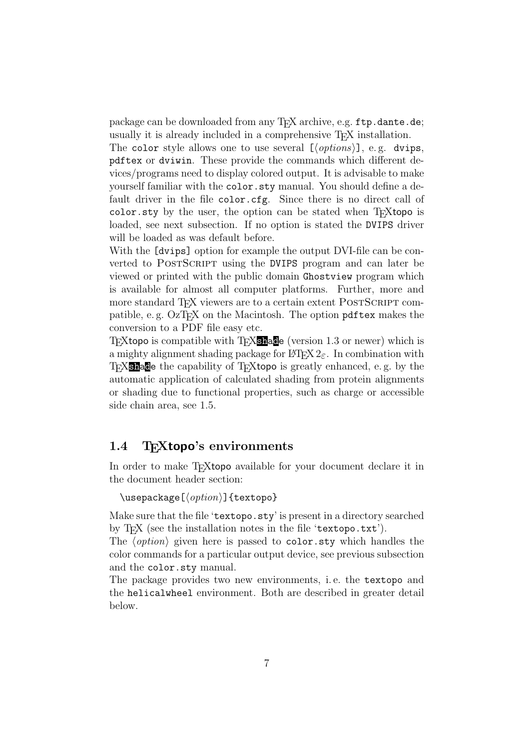package can be downloaded from any T<sub>EX</sub> archive, e.g. ftp.dante.de; usually it is already included in a comprehensive T<sub>E</sub>X installation.

The color style allows one to use several  $[$ *(options*)], e.g. dvips, pdftex or dviwin. These provide the commands which different devices/programs need to display colored output. It is advisable to make yourself familiar with the color.sty manual. You should define a default driver in the file color.cfg. Since there is no direct call of color. sty by the user, the option can be stated when  $T_F X$ topo is loaded, see next subsection. If no option is stated the DVIPS driver will be loaded as was default before.

With the [dvips] option for example the output DVI-file can be converted to POSTSCRIPT using the DVIPS program and can later be viewed or printed with the public domain Ghostview program which is available for almost all computer platforms. Further, more and more standard T<sub>F</sub>X viewers are to a certain extent POSTSCRIPT compatible, e.g. OzT<sub>F</sub>X on the Macintosh. The option pdftex makes the conversion to a PDF file easy etc.

TEXtopo is compatible with TEXshade (version 1.3 or newer) which is a mighty alignment shading package for LATEX  $2_{\epsilon}$ . In combination with T<sub>E</sub>X<sub>Shad</sub>e the capability of T<sub>E</sub>Xtopo is greatly enhanced, e.g. by the automatic application of calculated shading from protein alignments or shading due to functional properties, such as charge or accessible side chain area, see [1.5.](#page-9-0)

## <span id="page-6-0"></span>1.4 T<sub>F</sub>Xtopo's environments

In order to make T<sub>E</sub>Xtopo available for your document declare it in the document header section:

#### $\{\text{user}(option)\}$  {textopo}

Make sure that the file 'textopo.sty' is present in a directory searched by T<sub>F</sub>X (see the installation notes in the file 'textopo.txt').

The  $\langle option \rangle$  given here is passed to color.sty which handles the color commands for a particular output device, see previous subsection and the color.sty manual.

The package provides two new environments, i. e. the textopo and the helicalwheel environment. Both are described in greater detail below.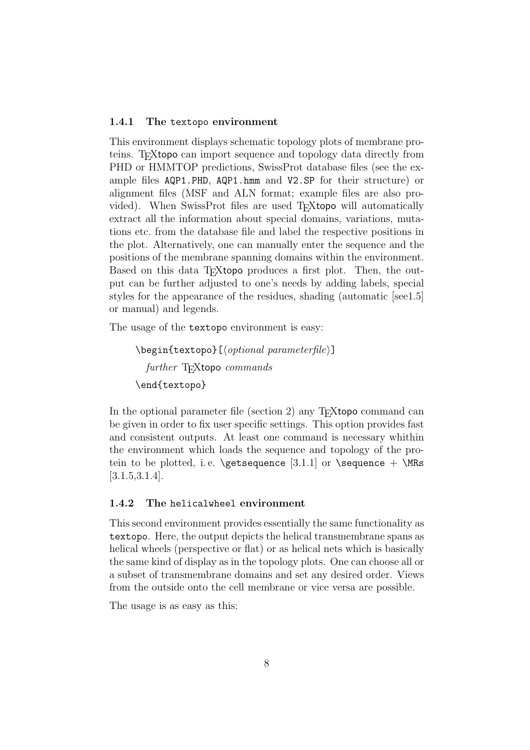#### <span id="page-7-0"></span>1.4.1 The textopo environment

This environment displays schematic topology plots of membrane proteins. TEXtopo can import sequence and topology data directly from PHD or HMMTOP predictions, SwissProt database files (see the example files AQP1.PHD, AQP1.hmm and V2.SP for their structure) or alignment files (MSF and ALN format; example files are also provided). When SwissProt files are used T<sub>E</sub>Xtopo will automatically extract all the information about special domains, variations, mutations etc. from the database file and label the respective positions in the plot. Alternatively, one can manually enter the sequence and the positions of the membrane spanning domains within the environment. Based on this data T<sub>E</sub>Xtopo produces a first plot. Then, the output can be further adjusted to one's needs by adding labels, special styles for the appearance of the residues, shading (automatic [se[e1.5\]](#page-9-0) or manual) and legends.

The usage of the textopo environment is easy:

```
\begin{equation*} \begin{bmatrix} (optional \ parametric \\ \end{bmatrix} \end{equation*}further T<sub>E</sub>Xtopo commands
\end{textopo}
```
In the optional parameter file (section [2\)](#page-12-0) any T<sub>E</sub>Xtopo command can be given in order to fix user specific settings. This option provides fast and consistent outputs. At least one command is necessary whithin the environment which loads the sequence and topology of the pro-tein to be plotted, i.e. \getsequence [\[3.1.1\]](#page-13-1) or \sequence + \MRs [\[3.1.5](#page-15-0)[,3.1.4\]](#page-14-2).

## <span id="page-7-1"></span>1.4.2 The helicalwheel environment

This second environment provides essentially the same functionality as textopo. Here, the output depicts the helical transmembrane spans as helical wheels (perspective or flat) or as helical nets which is basically the same kind of display as in the topology plots. One can choose all or a subset of transmembrane domains and set any desired order. Views from the outside onto the cell membrane or vice versa are possible.

The usage is as easy as this: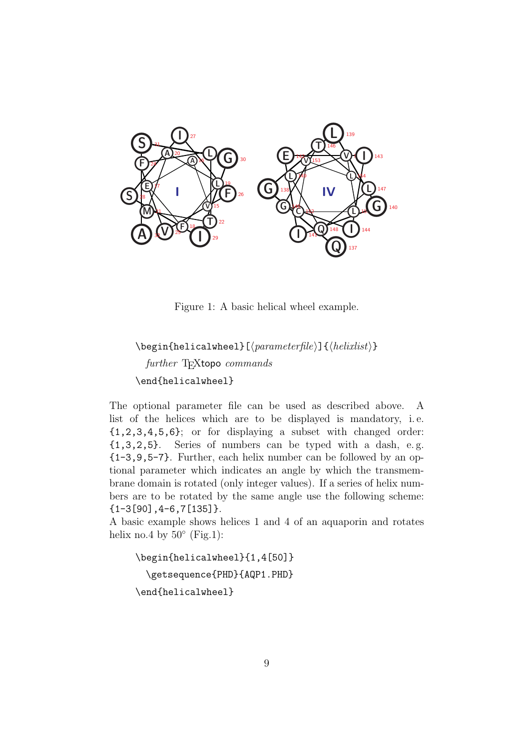

<span id="page-8-0"></span>Figure 1: A basic helical wheel example.

```
\begin{helicalwheel}[#parameterfile$]{#helixlist$}
  further TFXtopo commands
\end{helicalwheel}
```
The optional parameter file can be used as described above. A list of the helices which are to be displayed is mandatory, i. e. {1,2,3,4,5,6}; or for displaying a subset with changed order: {1,3,2,5}. Series of numbers can be typed with a dash, e. g. {1-3,9,5-7}. Further, each helix number can be followed by an optional parameter which indicates an angle by which the transmembrane domain is rotated (only integer values). If a series of helix numbers are to be rotated by the same angle use the following scheme: {1-3[90],4-6,7[135]}.

A basic example shows helices 1 and 4 of an aquaporin and rotates helix no.4 by  $50^{\circ}$  (Fig[.1\)](#page-8-0):

\begin{helicalwheel}{1,4[50]} \getsequence{PHD}{AQP1.PHD} \end{helicalwheel}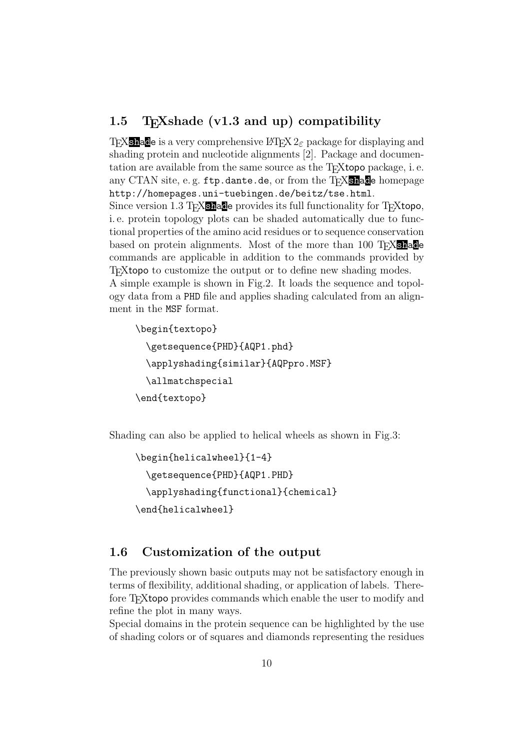## <span id="page-9-0"></span>1.5 T<sub>E</sub>Xshade (v1.3 and up) compatibility

TEX**shade** is a very comprehensive LATEX  $2\varepsilon$  package for displaying and shading protein and nucleotide alignments [2]. Package and documentation are available from the same source as the T<sub>E</sub>Xtopo package, i.e. any CTAN site, e.g.  $ftp.dante.de$ , or from the T<sub>E</sub>X<sub>Shad</sub>e homepage http://homepages.uni-tuebingen.de/beitz/tse.html.

Since version 1.3 TEXshade provides its full functionality for TEXtopo, i. e. protein topology plots can be shaded automatically due to functional properties of the amino acid residues or to sequence conservation based on protein alignments. Most of the more than 100 T<sub>E</sub>X<sub>Shad</sub>e commands are applicable in addition to the commands provided by T<sub>EX</sub>topo to customize the output or to define new shading modes.

A simple example is shown in Fig[.2.](#page-10-0) It loads the sequence and topology data from a PHD file and applies shading calculated from an alignment in the MSF format.

```
\begin{textopo}
  \getsequence{PHD}{AQP1.phd}
  \applyshading{similar}{AQPpro.MSF}
  \allmatchspecial
\end{textopo}
```
Shading can also be applied to helical wheels as shown in Fig[.3:](#page-11-0)

```
\begin{helicalwheel}{1-4}
  \getsequence{PHD}{AQP1.PHD}
 \applyshading{functional}{chemical}
\end{helicalwheel}
```
## <span id="page-9-1"></span>1.6 Customization of the output

The previously shown basic outputs may not be satisfactory enough in terms of flexibility, additional shading, or application of labels. Therefore T<sub>E</sub>Xtopo provides commands which enable the user to modify and refine the plot in many ways.

Special domains in the protein sequence can be highlighted by the use of shading colors or of squares and diamonds representing the residues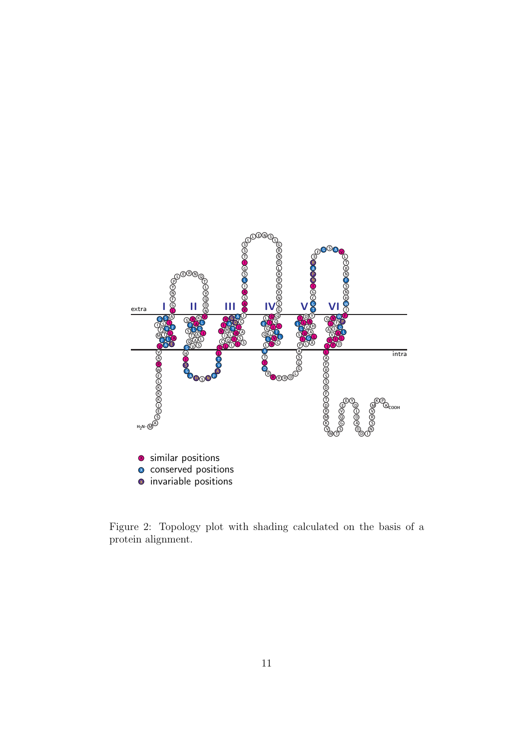

<span id="page-10-0"></span>Figure 2: Topology plot with shading calculated on the basis of a protein alignment.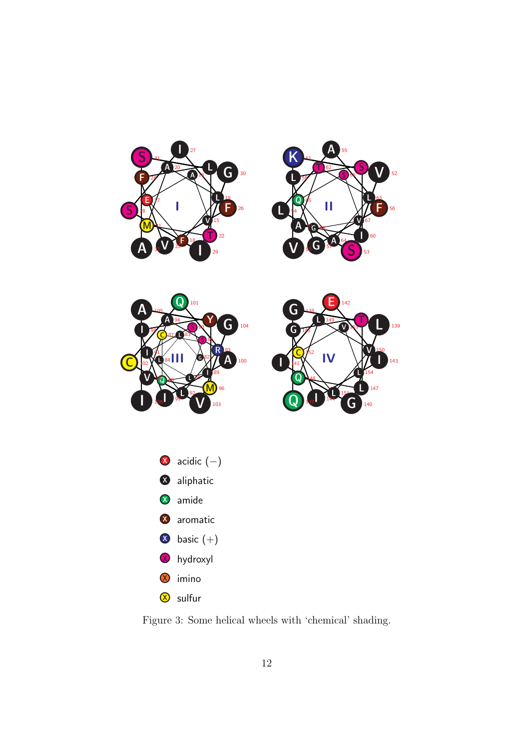

<span id="page-11-0"></span>Figure 3: Some helical wheels with 'chemical' shading.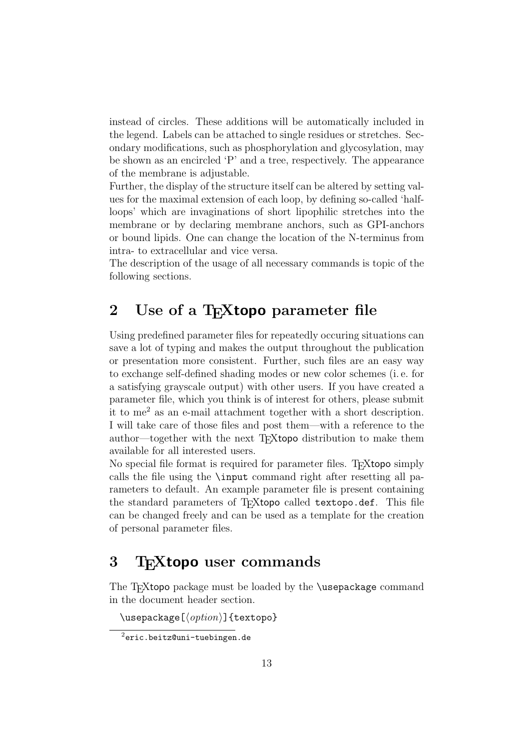instead of circles. These additions will be automatically included in the legend. Labels can be attached to single residues or stretches. Secondary modifications, such as phosphorylation and glycosylation, may be shown as an encircled 'P' and a tree, respectively. The appearance of the membrane is adjustable.

Further, the display of the structure itself can be altered by setting values for the maximal extension of each loop, by defining so-called 'halfloops' which are invaginations of short lipophilic stretches into the membrane or by declaring membrane anchors, such as GPI-anchors or bound lipids. One can change the location of the N-terminus from intra- to extracellular and vice versa.

The description of the usage of all necessary commands is topic of the following sections.

## <span id="page-12-0"></span>2 Use of a T<sub>F</sub>Xtopo parameter file

Using predefined parameter files for repeatedly occuring situations can save a lot of typing and makes the output throughout the publication or presentation more consistent. Further, such files are an easy way to exchange self-defined shading modes or new color schemes (i. e. for a satisfying grayscale output) with other users. If you have created a parameter file, which you think is of interest for others, please submit it to me[2](#page-12-2) as an e-mail attachment together with a short description. I will take care of those files and post them—with a reference to the author—together with the next T<sub>E</sub>Xtopo distribution to make them available for all interested users.

No special file format is required for parameter files. T<sub>E</sub>Xtopo simply calls the file using the \input command right after resetting all parameters to default. An example parameter file is present containing the standard parameters of T<sub>E</sub>Xtopo called textopo.def. This file can be changed freely and can be used as a template for the creation of personal parameter files.

## <span id="page-12-1"></span>3 T<sub>F</sub>Xtopo user commands

The T<sub>E</sub>Xtopo package must be loaded by the **\usepackage** command in the document header section.

\usepackage  $[\langle option \rangle]$  {textopo}

<span id="page-12-2"></span><sup>2</sup>eric.beitz@uni-tuebingen.de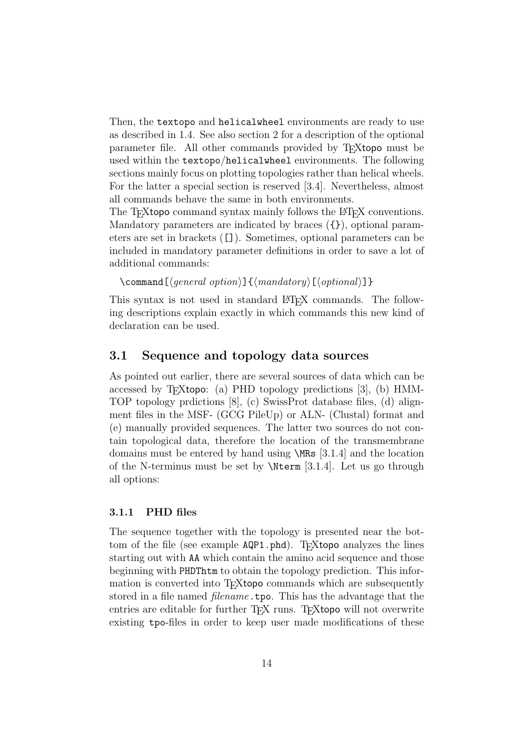Then, the textopo and helicalwheel environments are ready to use as described in [1.4.](#page-6-0) See also section [2](#page-12-0) for a description of the optional parameter file. All other commands provided by T<sub>E</sub>Xtopo must be used within the textopo/helicalwheel environments. The following sections mainly focus on plotting topologies rather than helical wheels. For the latter a special section is reserved [\[3.4\]](#page-30-1). Nevertheless, almost all commands behave the same in both environments.

The T<sub>E</sub>Xtopo command syntax mainly follows the L<sup>AT</sup>EX conventions. Mandatory parameters are indicated by braces ({}), optional parameters are set in brackets ([]). Sometimes, optional parameters can be included in mandatory parameter definitions in order to save a lot of additional commands:

```
\command[\langle general\ option\rangle]\{\langle mandatory\rangle[\langle optional\rangle]}
```
This syntax is not used in standard LAT<sub>EX</sub> commands. The following descriptions explain exactly in which commands this new kind of declaration can be used.

## <span id="page-13-0"></span>3.1 Sequence and topology data sources

As pointed out earlier, there are several sources of data which can be accessed by T<sub>E</sub>Xtopo: (a) PHD topology predictions  $[3]$ , (b) HMM-TOP topology prdictions [8], (c) SwissProt database files, (d) alignment files in the MSF- (GCG PileUp) or ALN- (Clustal) format and (e) manually provided sequences. The latter two sources do not contain topological data, therefore the location of the transmembrane domains must be entered by hand using \MRs [\[3.1.4\]](#page-14-2) and the location of the N-terminus must be set by  $\N$ term [\[3.1.4\]](#page-15-1). Let us go through all options:

## <span id="page-13-1"></span>3.1.1 PHD files

The sequence together with the topology is presented near the bottom of the file (see example AQP1.phd). T<sub>E</sub>Xtopo analyzes the lines starting out with AA which contain the amino acid sequence and those beginning with PHDThtm to obtain the topology prediction. This information is converted into T<sub>E</sub>Xtopo commands which are subsequently stored in a file named *filename*.tpo. This has the advantage that the entries are editable for further T<sub>EX</sub> runs. T<sub>EX</sub> topo will not overwrite existing tpo-files in order to keep user made modifications of these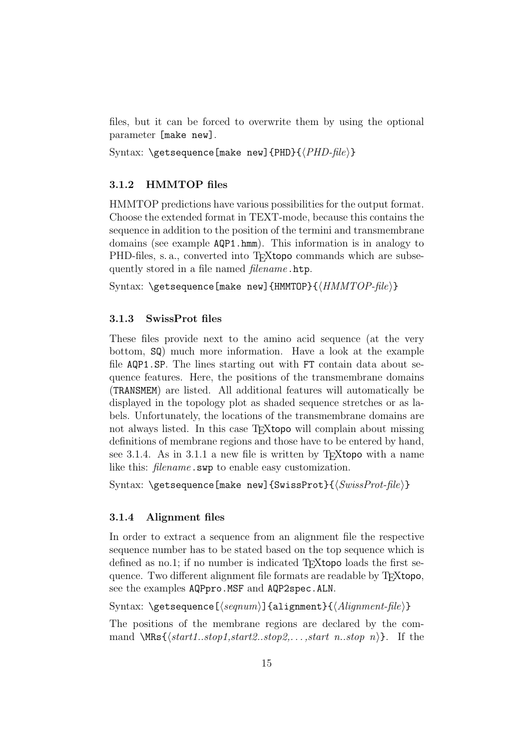files, but it can be forced to overwrite them by using the optional parameter [make new].

Syntax:  $\get sequence[make new]{\Phi}\{PHD-file\}$ 

## <span id="page-14-0"></span>3.1.2 HMMTOP files

HMMTOP predictions have various possibilities for the output format. Choose the extended format in TEXT-mode, because this contains the sequence in addition to the position of the termini and transmembrane domains (see example AQP1.hmm). This information is in analogy to PHD-files, s. a., converted into T<sub>E</sub>Xtopo commands which are subsequently stored in a file named *filename*.htp.

Syntax: \getsequence[make new]{HMMTOP}{ $\{HMMTOP\}-file$ }}

### <span id="page-14-1"></span>3.1.3 SwissProt files

These files provide next to the amino acid sequence (at the very bottom, SQ) much more information. Have a look at the example file AQP1.SP. The lines starting out with FT contain data about sequence features. Here, the positions of the transmembrane domains (TRANSMEM) are listed. All additional features will automatically be displayed in the topology plot as shaded sequence stretches or as labels. Unfortunately, the locations of the transmembrane domains are not always listed. In this case T<sub>E</sub>Xtopo will complain about missing definitions of membrane regions and those have to be entered by hand, see [3.1.4.](#page-14-2) As in [3.1.1](#page-13-1) a new file is written by T<sub>E</sub>Xtopo with a name like this: *filename*.swp to enable easy customization.

Syntax: \getsequence[make new]{SwissProt}{ $\langle SwissProt-File \rangle$ }

### <span id="page-14-2"></span>3.1.4 Alignment files

In order to extract a sequence from an alignment file the respective sequence number has to be stated based on the top sequence which is defined as no.1; if no number is indicated T $FX$ topo loads the first sequence. Two different alignment file formats are readable by T<sub>E</sub>Xtopo, see the examples AQPpro.MSF and AQP2spec.ALN.

Syntax:  $\setminus$ getsequence[ $\setminus$ seqnum $\setminus$ ]{alignment}{ $\setminus$ Alignment-file $\setminus$ }

The positions of the membrane regions are declared by the command  $\MRs\{\sqrt{start1..stop1,start2..stop2, \ldots,start \ n.stop \ n)}\}$ . If the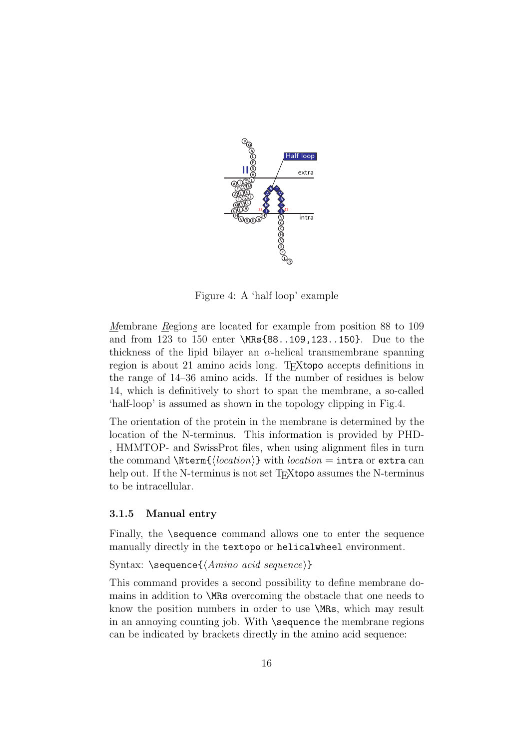

<span id="page-15-1"></span>Figure 4: A 'half loop' example

Membrane Regions are located for example from position 88 to 109 and from 123 to 150 enter \MRs{88..109,123..150}. Due to the thickness of the lipid bilayer an  $\alpha$ -helical transmembrane spanning region is about 21 amino acids long. T<sub>E</sub>Xtopo accepts definitions in the range of 14–36 amino acids. If the number of residues is below 14, which is definitively to short to span the membrane, a so-called 'half-loop' is assumed as shown in the topology clipping in Fig[.4.](#page-15-1)

The orientation of the protein in the membrane is determined by the location of the N-terminus. This information is provided by PHD- , HMMTOP- and SwissProt files, when using alignment files in turn the command \Nterm{ $\{location\}$ } with *location* = intra or extra can help out. If the N-terminus is not set T<sub>E</sub>Xtopo assumes the N-terminus to be intracellular.

#### <span id="page-15-0"></span>3.1.5 Manual entry

Finally, the **\sequence** command allows one to enter the sequence manually directly in the textopo or helicalwheel environment.

Syntax:  $\searrow$  Sequence $\{\langle \text{Amino } acid \text{ sequence} \rangle\}$ 

This command provides a second possibility to define membrane domains in addition to \MRs overcoming the obstacle that one needs to know the position numbers in order to use \MRs, which may result in an annoying counting job. With \sequence the membrane regions can be indicated by brackets directly in the amino acid sequence: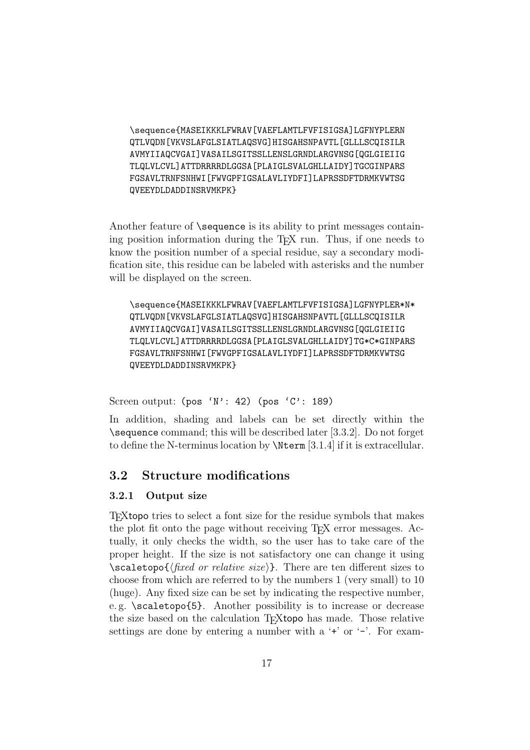\sequence{MASEIKKKLFWRAV[VAEFLAMTLFVFISIGSA]LGFNYPLERN QTLVQDN[VKVSLAFGLSIATLAQSVG]HISGAHSNPAVTL[GLLLSCQISILR AVMYIIAQCVGAI]VASAILSGITSSLLENSLGRNDLARGVNSG[QGLGIEIIG TLQLVLCVL]ATTDRRRRDLGGSA[PLAIGLSVALGHLLAIDY]TGCGINPARS FGSAVLTRNFSNHWI[FWVGPFIGSALAVLIYDFI]LAPRSSDFTDRMKVWTSG QVEEYDLDADDINSRVMKPK}

Another feature of  $\setminus$ sequence is its ability to print messages containing position information during the T<sub>E</sub>X run. Thus, if one needs to know the position number of a special residue, say a secondary modification site, this residue can be labeled with asterisks and the number will be displayed on the screen.

\sequence{MASEIKKKLFWRAV[VAEFLAMTLFVFISIGSA]LGFNYPLER\*N\* QTLVQDN[VKVSLAFGLSIATLAQSVG]HISGAHSNPAVTL[GLLLSCQISILR AVMYIIAQCVGAI]VASAILSGITSSLLENSLGRNDLARGVNSG[QGLGIEIIG TLQLVLCVL]ATTDRRRRDLGGSA[PLAIGLSVALGHLLAIDY]TG\*C\*GINPARS FGSAVLTRNFSNHWI[FWVGPFIGSALAVLIYDFI]LAPRSSDFTDRMKVWTSG QVEEYDLDADDINSRVMKPK}

Screen output:  $(pos 'N': 42)$  (pos 'C': 189)

In addition, shading and labels can be set directly within the \sequence command; this will be described later [\[3.3.2\]](#page-23-0). Do not forget to define the N-terminus location by \Nterm [\[3.1.4\]](#page-15-1) if it is extracellular.

## <span id="page-16-0"></span>3.2 Structure modifications

#### <span id="page-16-1"></span>3.2.1 Output size

TEXtopo tries to select a font size for the residue symbols that makes the plot fit onto the page without receiving T<sub>E</sub>X error messages. Actually, it only checks the width, so the user has to take care of the proper height. If the size is not satisfactory one can change it using  $\simeq$  \scaletopo{ $\langle fixed \space or \space relative \space size \rangle$ }. There are ten different sizes to choose from which are referred to by the numbers 1 (very small) to 10 (huge). Any fixed size can be set by indicating the respective number, e. g. \scaletopo{5}. Another possibility is to increase or decrease the size based on the calculation T<sub>E</sub>Xtopo has made. Those relative settings are done by entering a number with a  $+$  or  $-$ . For exam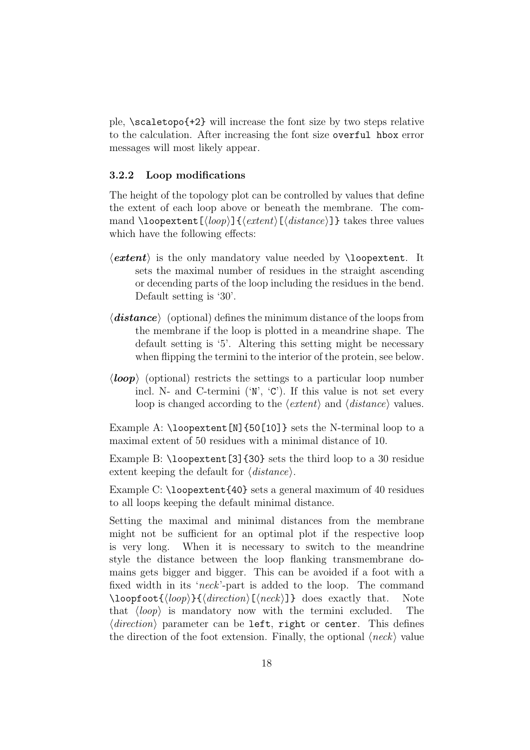ple,  $\succeq$  scaletopo{+2} will increase the font size by two steps relative to the calculation. After increasing the font size overful hbox error messages will most likely appear.

### <span id="page-17-0"></span>3.2.2 Loop modifications

The height of the topology plot can be controlled by values that define the extent of each loop above or beneath the membrane. The command \loopextent  $[\langle loop \rangle] {\langle extent \rangle}[\langle distance \rangle]$ } takes three values which have the following effects:

- $\langle \text{extend} \rangle$  is the only mandatory value needed by **\loopextent**. It sets the maximal number of residues in the straight ascending or decending parts of the loop including the residues in the bend. Default setting is '30'.
- $\langle$ **distance** $\rangle$  (optional) defines the minimum distance of the loops from the membrane if the loop is plotted in a meandrine shape. The default setting is '5'. Altering this setting might be necessary when flipping the termini to the interior of the protein, see below.
- $\langle loop \rangle$  (optional) restricts the settings to a particular loop number incl. N- and C-termini ('N', 'C'). If this value is not set every loop is changed according to the  $\langle extent \rangle$  and  $\langle distance \rangle$  values.

Example A: \loopextent[N]{50[10]} sets the N-terminal loop to a maximal extent of 50 residues with a minimal distance of 10.

Example B: \loopextent [3] {30} sets the third loop to a 30 residue extent keeping the default for  $\langle distance \rangle$ .

Example C: \loopextent{40} sets a general maximum of 40 residues to all loops keeping the default minimal distance.

Setting the maximal and minimal distances from the membrane might not be sufficient for an optimal plot if the respective loop is very long. When it is necessary to switch to the meandrine style the distance between the loop flanking transmembrane domains gets bigger and bigger. This can be avoided if a foot with a fixed width in its 'neck'-part is added to the loop. The command  $\text{loopfoot} {\langle loop\rangle} {\langle direction\rangle} [\langle neck\rangle] {\rangle}$  does exactly that. Note that  $\langle loop\rangle$  is mandatory now with the termini excluded. The that  $\langle loop \rangle$  is mandatory now with the termini excluded.  $\langle direction\rangle$  parameter can be left, right or center. This defines the direction of the foot extension. Finally, the optional  $\langle neck \rangle$  value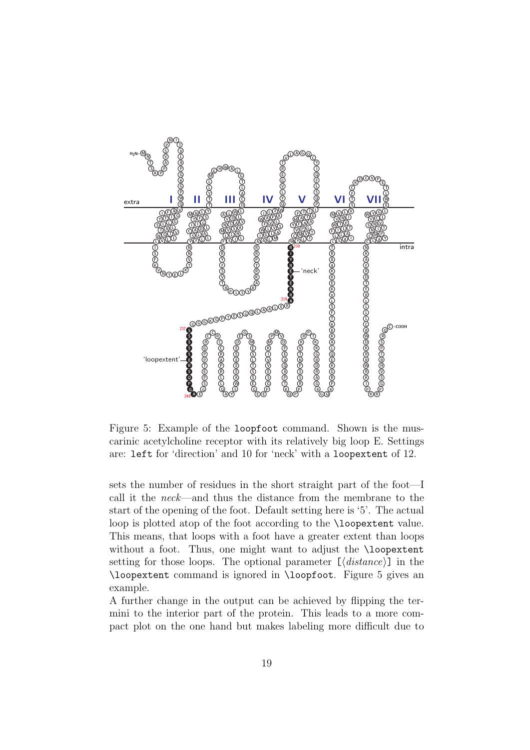

<span id="page-18-0"></span>Figure 5: Example of the loopfoot command. Shown is the muscarinic acetylcholine receptor with its relatively big loop E. Settings are: left for 'direction' and 10 for 'neck' with a loopextent of 12.

sets the number of residues in the short straight part of the foot—I call it the neck—and thus the distance from the membrane to the start of the opening of the foot. Default setting here is '5'. The actual loop is plotted atop of the foot according to the **\loopextent** value. This means, that loops with a foot have a greater extent than loops without a foot. Thus, one might want to adjust the \loopextent setting for those loops. The optional parameter  $[\langle distance \rangle]$  in the \loopextent command is ignored in \loopfoot. Figure [5](#page-18-0) gives an example.

A further change in the output can be achieved by flipping the termini to the interior part of the protein. This leads to a more compact plot on the one hand but makes labeling more difficult due to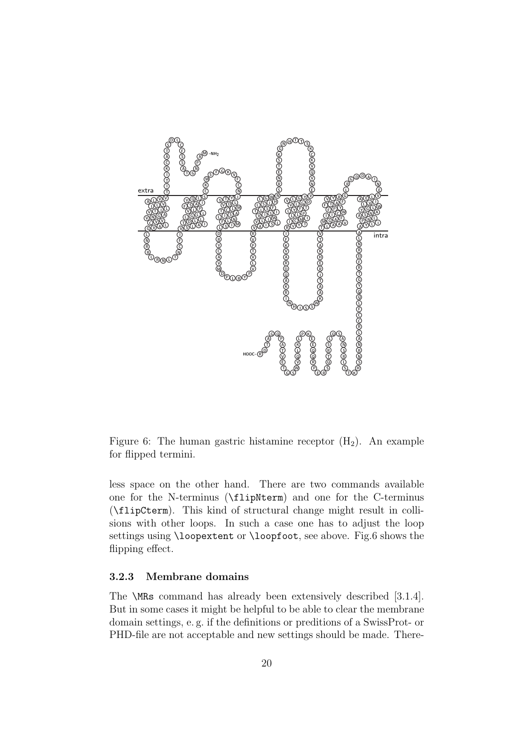

<span id="page-19-1"></span>Figure 6: The human gastric histamine receptor  $(H_2)$ . An example for flipped termini.

less space on the other hand. There are two commands available one for the N-terminus (\flipNterm) and one for the C-terminus (\flipCterm). This kind of structural change might result in collisions with other loops. In such a case one has to adjust the loop settings using \loopextent or \loopfoot, see above. Fig[.6](#page-19-1) shows the flipping effect.

### <span id="page-19-0"></span>3.2.3 Membrane domains

The \MRs command has already been extensively described [\[3.1.4\]](#page-14-2). But in some cases it might be helpful to be able to clear the membrane domain settings, e. g. if the definitions or preditions of a SwissProt- or PHD-file are not acceptable and new settings should be made. There-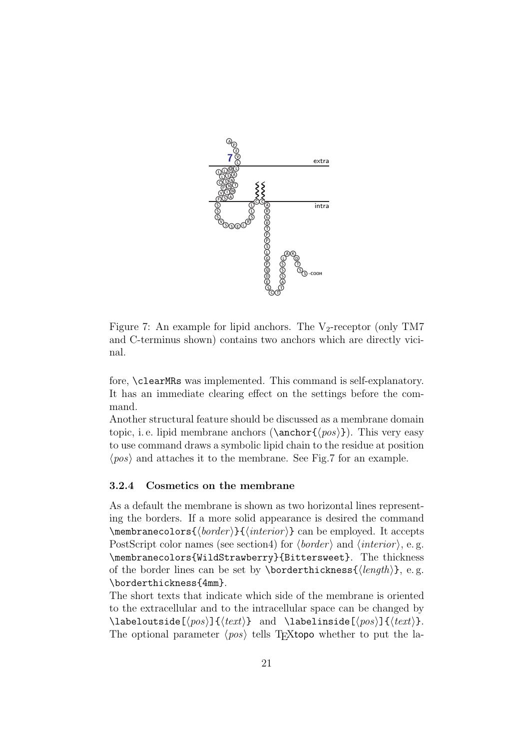

<span id="page-20-1"></span>Figure 7: An example for lipid anchors. The  $V_2$ -receptor (only TM7 and C-terminus shown) contains two anchors which are directly vicinal.

fore, \clearMRs was implemented. This command is self-explanatory. It has an immediate clearing effect on the settings before the command.

Another structural feature should be discussed as a membrane domain topic, i. e. lipid membrane anchors ( $\langle pos \rangle$ ). This very easy to use command draws a symbolic lipid chain to the residue at position  $\langle pos \rangle$  and attaches it to the membrane. See Fig[.7](#page-20-1) for an example.

### <span id="page-20-0"></span>3.2.4 Cosmetics on the membrane

As a default the membrane is shown as two horizontal lines representing the borders. If a more solid appearance is desired the command  $\mathcal{b}$  (*border*)}{*\interior*}} can be employed. It accepts PostScript color names (see sectio[n4\)](#page-35-0) for  $\langle border \rangle$  and  $\langle interior \rangle$ , e.g. \membranecolors{WildStrawberry}{Bittersweet}. The thickness of the border lines can be set by **\borderthickness{** $\{ \mathcal{L} \}$ , e.g. \borderthickness{4mm}.

The short texts that indicate which side of the membrane is oriented to the extracellular and to the intracellular space can be changed by \labeloutside[ $\langle pos \rangle$ ]{ $\langle text \rangle$ } and \labelinside[ $\langle pos \rangle$ ]{ $\langle text \rangle$ }. The optional parameter  $\langle pos \rangle$  tells T<sub>E</sub>Xtopo whether to put the la-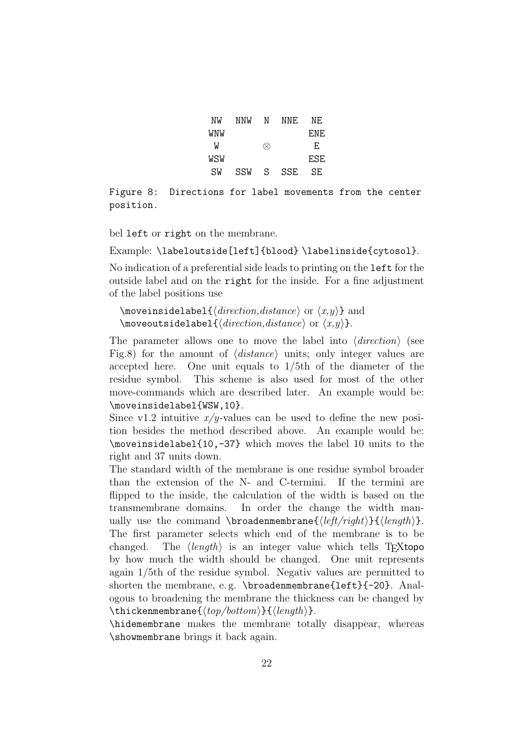| NW  | NNW | N | NNF. | NF.   |
|-----|-----|---|------|-------|
| WNW |     |   |      | F.NF. |
| W   |     | ∞ |      | F.    |
| WSW |     |   |      | ESE   |
| SW  | SSW | S | SSE. | SF.   |

<span id="page-21-0"></span>Figure 8: Directions for label movements from the center position.

bel left or right on the membrane.

Example: \labeloutside[left]{blood} \labelinside{cytosol}.

No indication of a preferential side leads to printing on the left for the outside label and on the right for the inside. For a fine adjustment of the label positions use

 $\mho$ veinsidelabel{ $\langle direction,distance\rangle$  or  $\langle x,y\rangle$ } and  $\text{two}$ veoutsidelabel $\{\text{direction}, \text{distance}\}$  or  $\langle x, y \rangle$ .

The parameter allows one to move the label into  $\langle direction \rangle$  (see Fig[.8\)](#page-21-0) for the amount of  $\langle distance \rangle$  units; only integer values are accepted here. One unit equals to 1/5th of the diameter of the residue symbol. This scheme is also used for most of the other move-commands which are described later. An example would be: \moveinsidelabel{WSW,10}.

Since v1.2 intuitive  $x/y$ -values can be used to define the new position besides the method described above. An example would be: \moveinsidelabel{10,-37} which moves the label 10 units to the right and 37 units down.

The standard width of the membrane is one residue symbol broader than the extension of the N- and C-termini. If the termini are flipped to the inside, the calculation of the width is based on the transmembrane domains. In order the change the width manually use the command \broadenmembrane{ $\langle \left\langle \left\langle \right\rangle \right\rangle$ }. The first parameter selects which end of the membrane is to be changed. The  $\langle length \rangle$  is an integer value which tells T<sub>E</sub>Xtopo by how much the width should be changed. One unit represents again 1/5th of the residue symbol. Negativ values are permitted to shorten the membrane, e. g. \broadenmembrane{left}{-20}. Analogous to broadening the membrane the thickness can be changed by \thickenmembrane{ $\langle top/bottom \rangle$ }{ $\langle length \rangle$ }.

\hidemembrane makes the membrane totally disappear, whereas \showmembrane brings it back again.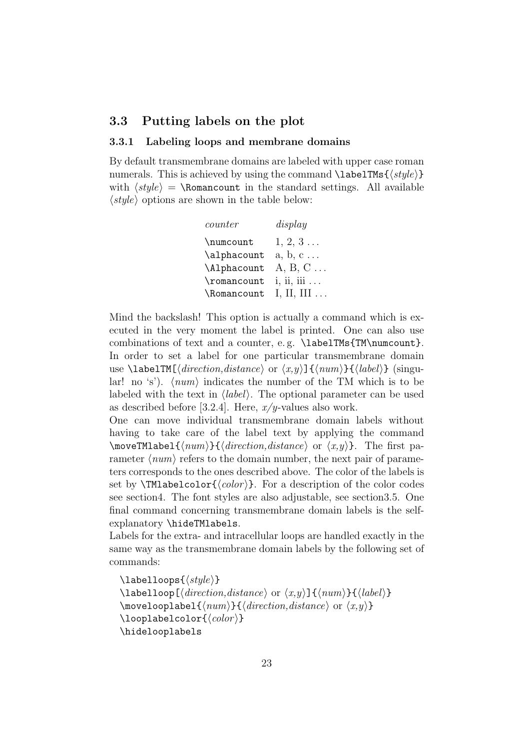## <span id="page-22-0"></span>3.3 Putting labels on the plot

#### <span id="page-22-1"></span>3.3.1 Labeling loops and membrane domains

By default transmembrane domains are labeled with upper case roman numerals. This is achieved by using the command  $\langle \text{style} \rangle$ with  $\langle style\rangle = \lambda$  Romancount in the standard settings. All available  $\langle style\rangle$  options are shown in the table below:

| counter     | display             |
|-------------|---------------------|
| \numcount   | $1, 2, 3 \ldots$    |
| \alphacount | $a, b, c \ldots$    |
| \Alphacount | $A, B, C \ldots$    |
| \romancount | $i, ii, iii \ldots$ |
| \Romancount | I, II, III $\ldots$ |

Mind the backslash! This option is actually a command which is executed in the very moment the label is printed. One can also use combinations of text and a counter, e.g. \labelTMs{TM\numcount}. In order to set a label for one particular transmembrane domain use \labelTM[ $\langle direction,distance\rangle$  or  $\langle x,y\rangle$ ] $\{\langle num\rangle\}\{\langle label\rangle\}$  (singular! no 's').  $\langle num \rangle$  indicates the number of the TM which is to be labeled with the text in  $\langle label \rangle$ . The optional parameter can be used as described before [\[3.2.4\]](#page-20-0). Here,  $x/y$ -values also work.

One can move individual transmembrane domain labels without having to take care of the label text by applying the command  $\m{\text{Mabel}(num)}{\\{direction,distance\}}$  or  $\langle x, y \rangle$ . The first parameter  $\langle num \rangle$  refers to the domain number, the next pair of parameters corresponds to the ones described above. The color of the labels is set by  $\Upsilon$ Mlabelcolor $\{\langle color \rangle\}$ . For a description of the color codes see sectio[n4.](#page-35-0) The font styles are also adjustable, see sectio[n3.5.](#page-34-0) One final command concerning transmembrane domain labels is the selfexplanatory \hideTMlabels.

Labels for the extra- and intracellular loops are handled exactly in the same way as the transmembrane domain labels by the following set of commands:

 $\{\langle style\rangle\}$  $\langle$ labelloop[ $\langle direction,distance\rangle$  or  $\langle x,y\rangle$ ] $\{$  $\langle num\rangle\}$ } $\langle label\rangle\}$  $\forall$ movelooplabel{ $\langle num \rangle$ }{ $\langle direction,distance \rangle$  or  $\langle x,y \rangle$ }  $\lozenge$ looplabelcolor $\{ \langle color \rangle \}$ \hidelooplabels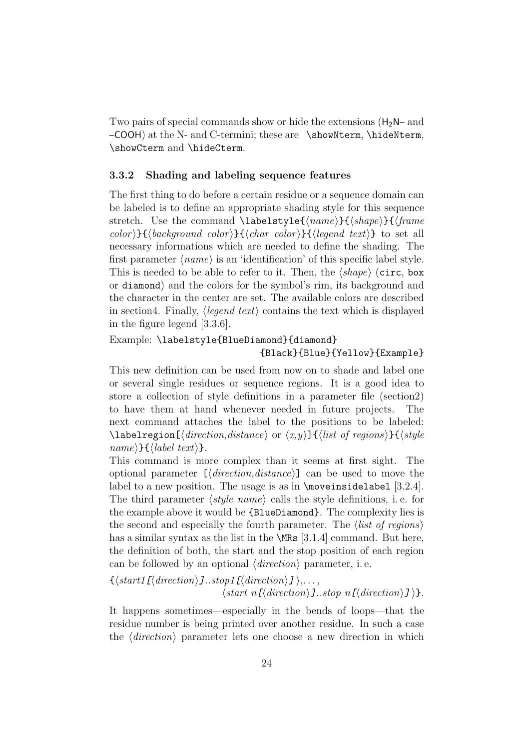Two pairs of special commands show or hide the extensions  $(H_2N-$  and –COOH) at the N- and C-termini; these are \showNterm, \hideNterm, \showCterm and \hideCterm.

#### <span id="page-23-0"></span>3.3.2 Shading and labeling sequence features

The first thing to do before a certain residue or a sequence domain can be labeled is to define an appropriate shading style for this sequence stretch. Use the command  $\label{1}$   $\label{1}$   $\label{1}$   $\label{1}$   $\label{1}$   $\label{1}$   $\label{1}$   $\label{1}$   $\label{1}$ color)  $\{\langle background\ color\rangle\}\{\langle char\ color\rangle\}\{\langle legend\ text\rangle\}$  to set all necessary informations which are needed to define the shading. The first parameter  $\langle name \rangle$  is an 'identification' of this specific label style. This is needed to be able to refer to it. Then, the  $\langle shape \rangle$  (circ, box or diamond) and the colors for the symbol's rim, its background and the character in the center are set. The available colors are described in sectio[n4.](#page-35-0) Finally,  $\langle legend \text{ text}\rangle$  contains the text which is displayed in the figure legend [\[3.3.6\]](#page-30-0).

Example: \labelstyle{BlueDiamond}{diamond} {Black}{Blue}{Yellow}{Example}

This new definition can be used from now on to shade and label one or several single residues or sequence regions. It is a good idea to store a collection of style definitions in a parameter file (sectio[n2\)](#page-12-0) to have them at hand whenever needed in future projects. The next command attaches the label to the positions to be labeled: \labelregion[ $\langle direction,distance\rangle$  or  $\langle x,y\rangle$ ]{ $\langle list\ of\ regions\rangle$ }{ $\langle style\$ sup>  $name\{}$  { (label text) }.

This command is more complex than it seems at first sight. The optional parameter  $\left[ \langle \text{direction,} \text{distance} \rangle \right]$  can be used to move the label to a new position. The usage is as in \moveinsidelabel [\[3.2.4\]](#page-20-0). The third parameter  $\langle style \space name \rangle$  calls the style definitions, i.e. for the example above it would be {BlueDiamond}. The complexity lies is the second and especially the fourth parameter. The  $\langle$  *list of regions* $\rangle$ has a similar syntax as the list in the **\MRs** [\[3.1.4\]](#page-14-2) command. But here, the definition of both, the start and the stop position of each region can be followed by an optional  $\langle direction \rangle$  parameter, i.e.

 $\{\langle start1[\langle direction \rangle] \ldots stop1[\langle direction \rangle] \rangle, \ldots,$  $\langle start \ n[\langle direction \rangle].stop \ n[\langle direction \rangle]\rangle.$ 

It happens sometimes—especially in the bends of loops—that the residue number is being printed over another residue. In such a case the  $\langle direction \rangle$  parameter lets one choose a new direction in which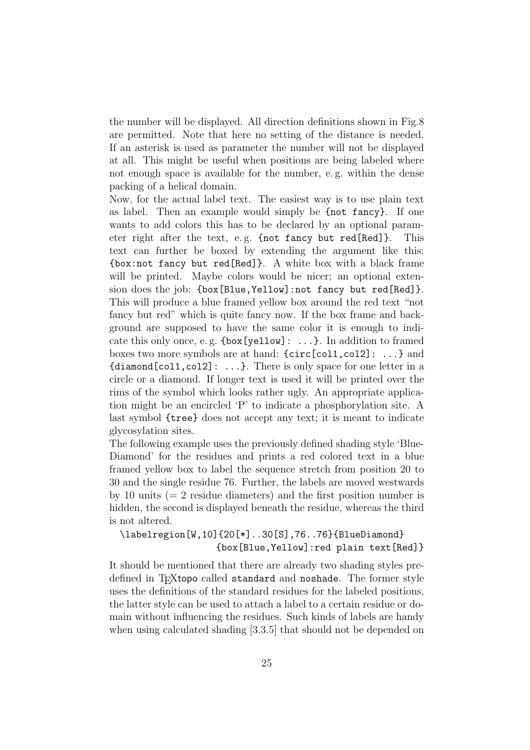the number will be displayed. All direction definitions shown in Fig[.8](#page-21-0) are permitted. Note that here no setting of the distance is needed. If an asterisk is used as parameter the number will not be displayed at all. This might be useful when positions are being labeled where not enough space is available for the number, e. g. within the dense packing of a helical domain.

Now, for the actual label text. The easiest way is to use plain text as label. Then an example would simply be {not fancy}. If one wants to add colors this has to be declared by an optional parameter right after the text, e.g. {not fancy but red[Red]}. This text can further be boxed by extending the argument like this: {box:not fancy but red[Red]}. A white box with a black frame will be printed. Maybe colors would be nicer; an optional extension does the job: {box[Blue,Yellow]:not fancy but red[Red]}. This will produce a blue framed yellow box around the red text "not fancy but red" which is quite fancy now. If the box frame and background are supposed to have the same color it is enough to indicate this only once, e. g. {box[yellow]: ...}. In addition to framed boxes two more symbols are at hand: {circ[col1,col2]: ...} and {diamond[col1,col2]: ...}. There is only space for one letter in a circle or a diamond. If longer text is used it will be printed over the rims of the symbol which looks rather ugly. An appropriate application might be an encircled 'P' to indicate a phosphorylation site. A last symbol {tree} does not accept any text; it is meant to indicate glycosylation sites.

The following example uses the previously defined shading style 'Blue-Diamond' for the residues and prints a red colored text in a blue framed yellow box to label the sequence stretch from position 20 to 30 and the single residue 76. Further, the labels are moved westwards by 10 units  $(= 2 \text{ residue diameters})$  and the first position number is hidden, the second is displayed beneath the residue, whereas the third is not altered.

\labelregion[W,10]{20[\*]..30[S],76..76}{BlueDiamond} {box[Blue,Yellow]:red plain text[Red]}

It should be mentioned that there are already two shading styles predefined in T<sub>E</sub>Xtopo called standard and noshade. The former style uses the definitions of the standard residues for the labeled positions, the latter style can be used to attach a label to a certain residue or domain without influencing the residues. Such kinds of labels are handy when using calculated shading [\[3.3.5\]](#page-27-0) that should not be depended on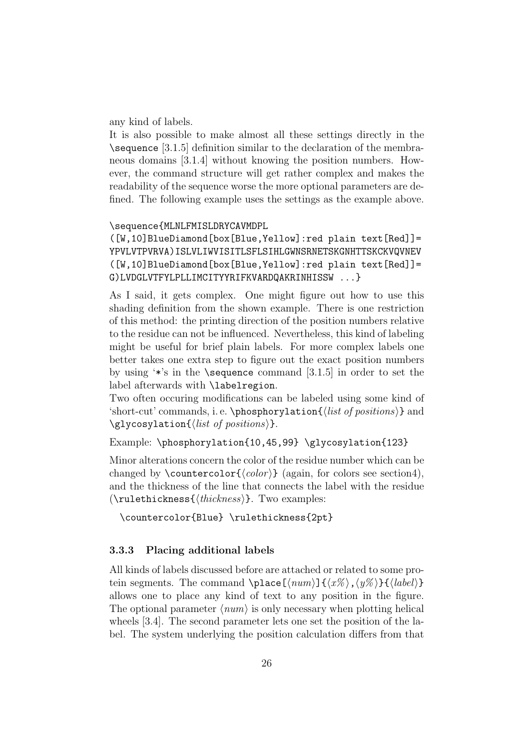any kind of labels.

It is also possible to make almost all these settings directly in the \sequence [\[3.1.5\]](#page-15-0) definition similar to the declaration of the membraneous domains [\[3.1.4\]](#page-14-2) without knowing the position numbers. However, the command structure will get rather complex and makes the readability of the sequence worse the more optional parameters are defined. The following example uses the settings as the example above.

#### \sequence{MLNLFMISLDRYCAVMDPL

([W,10]BlueDiamond[box[Blue,Yellow]:red plain text[Red]]= YPVLVTPVRVA)ISLVLIWVISITLSFLSIHLGWNSRNETSKGNHTTSKCKVQVNEV ([W,10]BlueDiamond[box[Blue,Yellow]:red plain text[Red]]= G)LVDGLVTFYLPLLIMCITYYRIFKVARDQAKRINHISSW ...}

As I said, it gets complex. One might figure out how to use this shading definition from the shown example. There is one restriction of this method: the printing direction of the position numbers relative to the residue can not be influenced. Nevertheless, this kind of labeling might be useful for brief plain labels. For more complex labels one better takes one extra step to figure out the exact position numbers by using  $\cdot\cdot\cdot$ 's in the **\sequence** command [\[3.1.5\]](#page-15-0) in order to set the label afterwards with \labelregion.

Two often occuring modifications can be labeled using some kind of 'short-cut' commands, i.e. \phosphorylation{ $\{list\ of\ positions\}$  and  $\gtrsim$  lycosylation{ $\langle$ *list of positions*}}.

Example: \phosphorylation{10,45,99} \glycosylation{123}

Minor alterations concern the color of the residue number which can be changed by  $\countercolor({color})$  (again, for colors see sectio[n4\)](#page-35-0), and the thickness of the line that connects the label with the residue  $(\mathcal{\text{true}})$ . Two examples:

\countercolor{Blue} \rulethickness{2pt}

## <span id="page-25-0"></span>3.3.3 Placing additional labels

All kinds of labels discussed before are attached or related to some protein segments. The command \place  $[\langle num \rangle] {\langle x \rangle, \langle y \rangle} {\langle label \rangle}$ allows one to place any kind of text to any position in the figure. The optional parameter  $\langle num \rangle$  is only necessary when plotting helical wheels [\[3.4\]](#page-30-1). The second parameter lets one set the position of the label. The system underlying the position calculation differs from that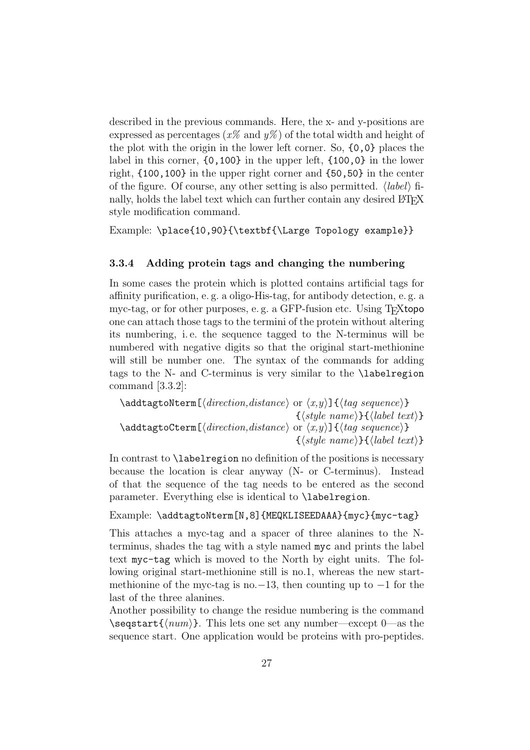described in the previous commands. Here, the x- and y-positions are expressed as percentages  $(x\%$  and  $y\%$  of the total width and height of the plot with the origin in the lower left corner. So, {0,0} places the label in this corner, {0,100} in the upper left, {100,0} in the lower right, {100,100} in the upper right corner and {50,50} in the center of the figure. Of course, any other setting is also permitted.  $\langle label \rangle$  finally, holds the label text which can further contain any desired LATEX style modification command.

Example: \place{10,90}{\textbf{\Large Topology example}}

#### <span id="page-26-0"></span>3.3.4 Adding protein tags and changing the numbering

In some cases the protein which is plotted contains artificial tags for affinity purification, e. g. a oligo-His-tag, for antibody detection, e. g. a myc-tag, or for other purposes, e.g. a GFP-fusion etc. Using T<sub>E</sub>Xtopo one can attach those tags to the termini of the protein without altering its numbering, i. e. the sequence tagged to the N-terminus will be numbered with negative digits so that the original start-methionine will still be number one. The syntax of the commands for adding tags to the N- and C-terminus is very similar to the \labelregion command [\[3.3.2\]](#page-23-0):

 $\adct$ addtagtoNterm[ $\langle direction,distance\rangle$  or  $\langle x,y\rangle$ ] $\{tag\,sequence\}$  $\{\langle style\ name\rangle\}\{\langle label \ text\rangle\}\$ \addtagtoCterm[ $\langle direction,distance\rangle$  or  $\langle x,y\rangle$ ]{ $\langle tag\ sequence\rangle$ }  $\{\langle style\ name\rangle\}\{\langle label\ text\rangle\}\$ 

In contrast to **\labelregion** no definition of the positions is necessary because the location is clear anyway (N- or C-terminus). Instead of that the sequence of the tag needs to be entered as the second parameter. Everything else is identical to \labelregion.

#### Example: \addtagtoNterm[N,8]{MEQKLISEEDAAA}{myc}{myc-tag}

This attaches a myc-tag and a spacer of three alanines to the Nterminus, shades the tag with a style named myc and prints the label text myc-tag which is moved to the North by eight units. The following original start-methionine still is no.1, whereas the new startmethionine of the myc-tag is no.−13, then counting up to  $-1$  for the last of the three alanines.

Another possibility to change the residue numbering is the command  $\searrow$  \seqstart{ $\langle num \rangle$ }. This lets one set any number—except 0—as the sequence start. One application would be proteins with pro-peptides.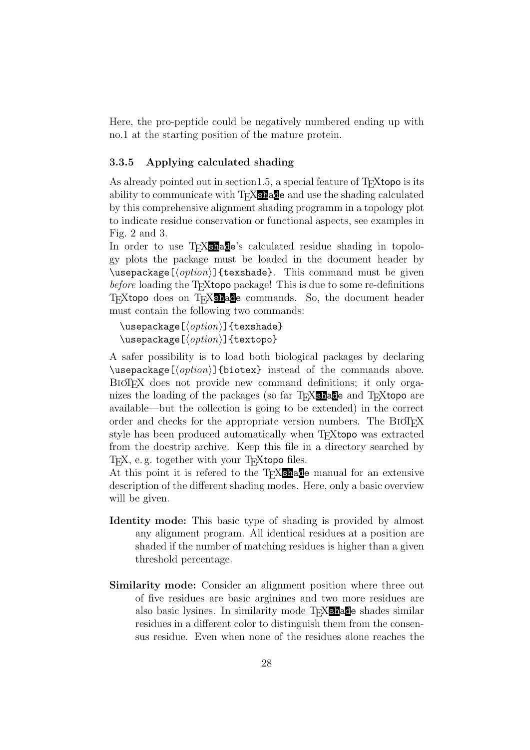Here, the pro-peptide could be negatively numbered ending up with no.1 at the starting position of the mature protein.

### <span id="page-27-0"></span>3.3.5 Applying calculated shading

As already pointed out in section 1.5, a special feature of T<sub>E</sub>Xtopo is its ability to communicate with T<sub>E</sub>X<sub>shad</sub>e and use the shading calculated by this comprehensive alignment shading programm in a topology plot to indicate residue conservation or functional aspects, see examples in Fig. [2](#page-10-0) and [3.](#page-11-0)

In order to use T<sub>E</sub>X<sub>shade</sub>'s calculated residue shading in topology plots the package must be loaded in the document header by  $\text{base}$ [ $\text{option}$ ]{texshade}. This command must be given before loading the T<sub>E</sub>Xtopo package! This is due to some re-definitions T<sub>EXtopo</sub> does on T<sub>EX</sub>shade commands. So, the document header must contain the following two commands:

```
\text{Usepackage}[\langle option \rangle]{texshade}
\text{Usepackage}[\langle option \rangle]{textopo}
```
A safer possibility is to load both biological packages by declaring  $\text{base}[(option)]$  {biotex} instead of the commands above. BioTEX does not provide new command definitions; it only organizes the loading of the packages (so far T<sub>E</sub>X<sub>Shad</sub>e and T<sub>E</sub>Xtopo are available—but the collection is going to be extended) in the correct order and checks for the appropriate version numbers. The BIOTEX style has been produced automatically when T<sub>E</sub>Xtopo was extracted from the docstrip archive. Keep this file in a directory searched by T<sub>EX</sub>, e.g. together with your T<sub>E</sub>Xtopo files.

At this point it is refered to the T<sub>E</sub>X<sub>Shad</sub>e manual for an extensive description of the different shading modes. Here, only a basic overview will be given.

- Identity mode: This basic type of shading is provided by almost any alignment program. All identical residues at a position are shaded if the number of matching residues is higher than a given threshold percentage.
- Similarity mode: Consider an alignment position where three out of five residues are basic arginines and two more residues are also basic lysines. In similarity mode TEXshade shades similar residues in a different color to distinguish them from the consensus residue. Even when none of the residues alone reaches the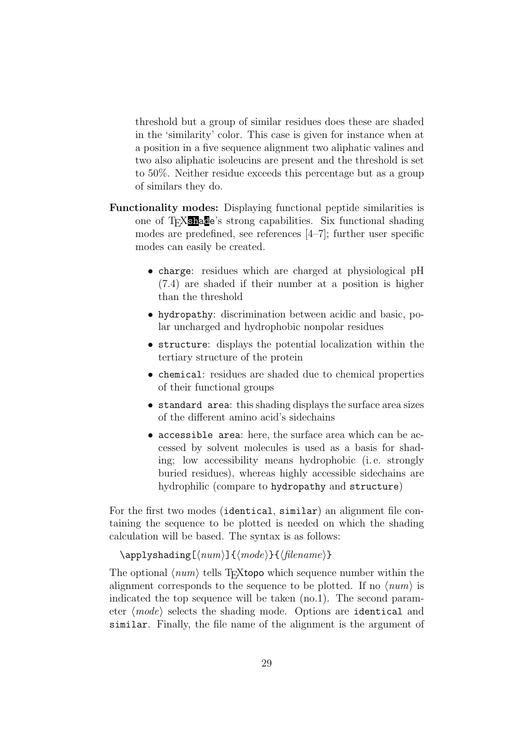threshold but a group of similar residues does these are shaded in the 'similarity' color. This case is given for instance when at a position in a five sequence alignment two aliphatic valines and two also aliphatic isoleucins are present and the threshold is set to 50%. Neither residue exceeds this percentage but as a group of similars they do.

- Functionality modes: Displaying functional peptide similarities is one of T<sub>E</sub>X<sub>Shad</sub>e's strong capabilities. Six functional shading modes are predefined, see references [4–7]; further user specific modes can easily be created.
	- charge: residues which are charged at physiological pH (7.4) are shaded if their number at a position is higher than the threshold
	- hydropathy: discrimination between acidic and basic, polar uncharged and hydrophobic nonpolar residues
	- structure: displays the potential localization within the tertiary structure of the protein
	- chemical: residues are shaded due to chemical properties of their functional groups
	- standard area: this shading displays the surface area sizes of the different amino acid's sidechains
	- accessible area: here, the surface area which can be accessed by solvent molecules is used as a basis for shading; low accessibility means hydrophobic (i. e. strongly buried residues), whereas highly accessible sidechains are hydrophilic (compare to hydropathy and structure)

For the first two modes (identical, similar) an alignment file containing the sequence to be plotted is needed on which the shading calculation will be based. The syntax is as follows:

```
\{\alpha\} \applyshading[\{\langle num \rangle]\{\langle mode \rangle\}}
```
The optional  $\langle num \rangle$  tells T<sub>E</sub>Xtopo which sequence number within the alignment corresponds to the sequence to be plotted. If no  $\langle num \rangle$  is indicated the top sequence will be taken (no.1). The second parameter  $\langle mode \rangle$  selects the shading mode. Options are identical and similar. Finally, the file name of the alignment is the argument of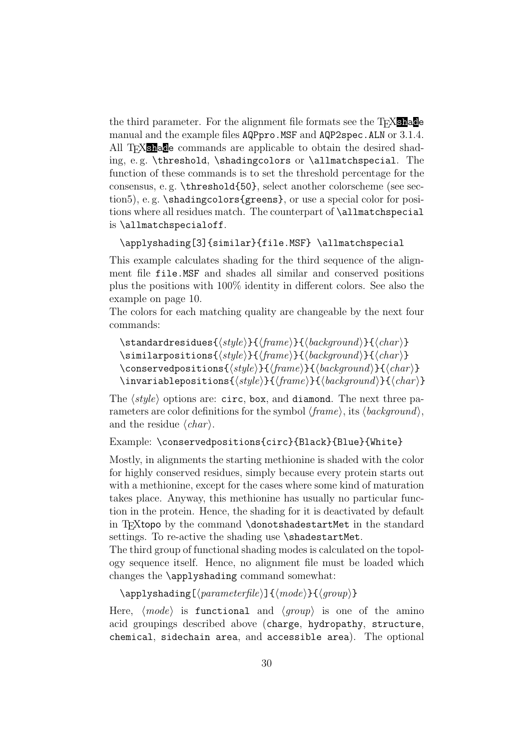the third parameter. For the alignment file formats see the  $T_{\text{F}}$  shade manual and the example files AQPpro.MSF and AQP2spec.ALN or [3.1.4.](#page-14-2) All T<sub>E</sub>X<sub>Shad</sub>e commands are applicable to obtain the desired shading, e. g. \threshold, \shadingcolors or \allmatchspecial. The function of these commands is to set the threshold percentage for the consensus, e. g. \threshold{50}, select another colorscheme (see sectio[n5\)](#page-37-0), e. g. \shadingcolors{greens}, or use a special color for positions where all residues match. The counterpart of \allmatchspecial is \allmatchspecialoff.

```
\applyshading[3]{similar}{file.MSF} \allmatchspecial
```
This example calculates shading for the third sequence of the alignment file file.MSF and shades all similar and conserved positions plus the positions with 100% identity in different colors. See also the example on page [10.](#page-9-0)

The colors for each matching quality are changeable by the next four commands:

```
\{\stantarderesidues({style})}{({frame})}{\phi{background}}\}\sim \similarpositions{\langle style\rangle}{\langle {frame} \rangle}{\langle {background} \rangle}{\langle {char} \rangle}
\conservedpositions{\{style{\langle style\rangle\} \{\langle \mathit{face}\rangle\} \{\langle \mathit{blackground}\rangle\} \{\langle \mathit{char}\rangle\}}\invariablepositions{\{style{\langle style\rangle\} \{\langle {brace}\rangle\} \{\langle {background}\rangle\} \{\langle {char}\rangle\}}
```
The  $\langle style\rangle$  options are: circ, box, and diamond. The next three parameters are color definitions for the symbol  $\langle frame \rangle$ , its  $\langle background \rangle$ , and the residue  $\langle char \rangle$ .

```
Example: \conservedpositions{circ}{Black}{Blue}{White}
```
Mostly, in alignments the starting methionine is shaded with the color for highly conserved residues, simply because every protein starts out with a methionine, except for the cases where some kind of maturation takes place. Anyway, this methionine has usually no particular function in the protein. Hence, the shading for it is deactivated by default in T<sub>E</sub>Xtopo by the command \donotshadestartMet in the standard settings. To re-active the shading use \shadestartMet.

The third group of functional shading modes is calculated on the topology sequence itself. Hence, no alignment file must be loaded which changes the \applyshading command somewhat:

```
\{\apph{\alpha}\ \{\qquad\} \{\qquad\} \{\qquad\}
```
Here,  $\langle mode \rangle$  is functional and  $\langle group \rangle$  is one of the amino acid groupings described above (charge, hydropathy, structure, chemical, sidechain area, and accessible area). The optional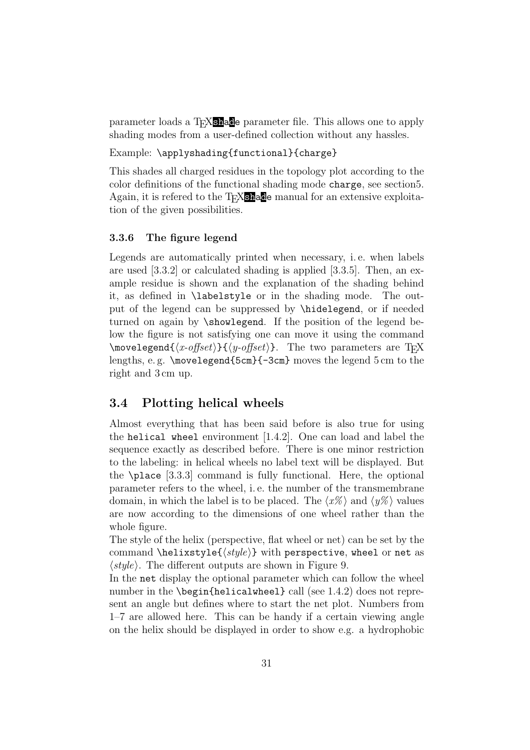parameter loads a T<sub>E</sub>X<sub>Shade</sub> parameter file. This allows one to apply shading modes from a user-defined collection without any hassles.

## Example: \applyshading{functional}{charge}

This shades all charged residues in the topology plot according to the color definitions of the functional shading mode charge, see sectio[n5.](#page-37-0) Again, it is refered to the T<sub>E</sub>Xshade manual for an extensive exploitation of the given possibilities.

#### <span id="page-30-0"></span>3.3.6 The figure legend

Legends are automatically printed when necessary, i. e. when labels are used [\[3.3.2\]](#page-23-0) or calculated shading is applied [\[3.3.5\]](#page-27-0). Then, an example residue is shown and the explanation of the shading behind it, as defined in \labelstyle or in the shading mode. The output of the legend can be suppressed by \hidelegend, or if needed turned on again by \showlegend. If the position of the legend below the figure is not satisfying one can move it using the command  $\mho$ velegend $\{\langle x\text{-offset}\rangle\}\{\langle y\text{-offset}\rangle\}.$  The two parameters are T<sub>E</sub>X lengths, e. g. \movelegend{5cm}{-3cm} moves the legend 5 cm to the right and 3 cm up.

## <span id="page-30-1"></span>3.4 Plotting helical wheels

Almost everything that has been said before is also true for using the helical wheel environment [\[1.4.2\]](#page-7-1). One can load and label the sequence exactly as described before. There is one minor restriction to the labeling: in helical wheels no label text will be displayed. But the \place [\[3.3.3\]](#page-25-0) command is fully functional. Here, the optional parameter refers to the wheel, i. e. the number of the transmembrane domain, in which the label is to be placed. The  $\langle x\% \rangle$  and  $\langle y\% \rangle$  values are now according to the dimensions of one wheel rather than the whole figure.

The style of the helix (perspective, flat wheel or net) can be set by the command \helixstyle{ $\{style\}$  with perspective, wheel or net as  $\langle style\rangle$ . The different outputs are shown in Figure [9.](#page-31-0)

In the net display the optional parameter which can follow the wheel number in the \begin{helicalwheel} call (see [1.4.2\)](#page-7-1) does not represent an angle but defines where to start the net plot. Numbers from 1–7 are allowed here. This can be handy if a certain viewing angle on the helix should be displayed in order to show e.g. a hydrophobic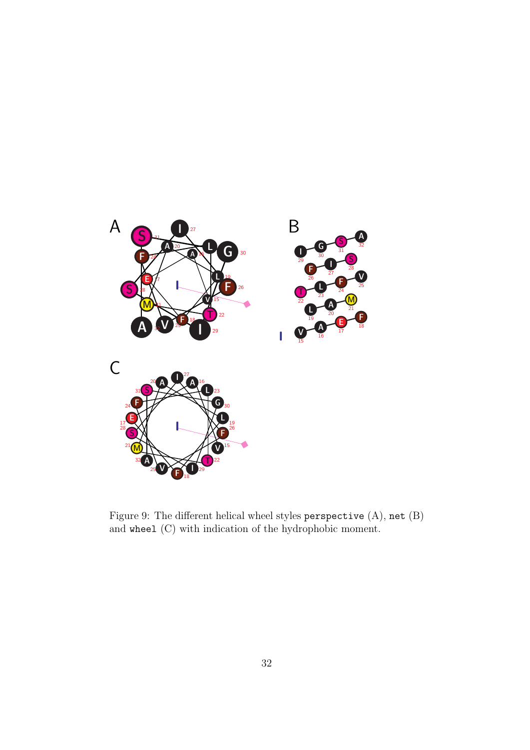

<span id="page-31-0"></span>Figure 9: The different helical wheel styles perspective (A), net (B) and wheel (C) with indication of the hydrophobic moment.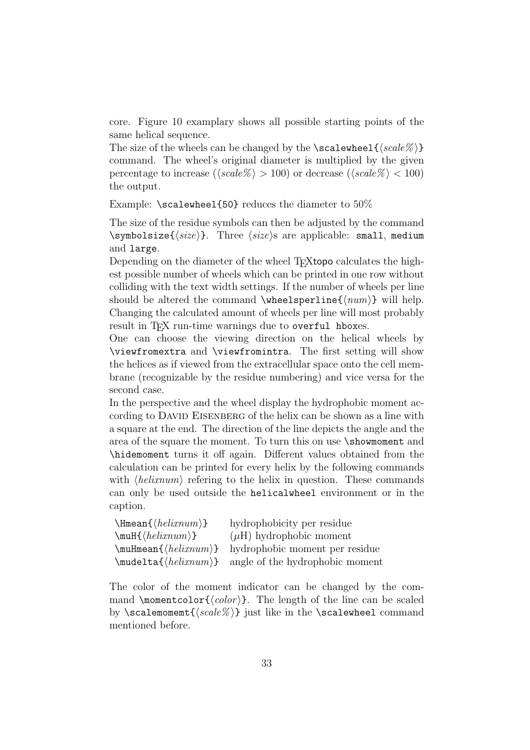core. Figure [10](#page-33-0) examplary shows all possible starting points of the same helical sequence.

The size of the wheels can be changed by the  $\succeq$  scalewheel $\{\langle scale \rangle\}$ command. The wheel's original diameter is multiplied by the given percentage to increase ( $\langle scale\% \rangle > 100$ ) or decrease ( $\langle scale\% \rangle < 100$ ) the output.

Example:  $\simeq$  Scalewheel{50} reduces the diameter to 50%

The size of the residue symbols can then be adjusted by the command \symbolsize{ $\langle size \rangle$ }. Three  $\langle size \rangle$ s are applicable: small, medium and large.

Depending on the diameter of the wheel T<sub>E</sub>Xtopo calculates the highest possible number of wheels which can be printed in one row without colliding with the text width settings. If the number of wheels per line should be altered the command \wheelsperline{ $\langle num \rangle$ } will help. Changing the calculated amount of wheels per line will most probably result in T<sub>F</sub>X run-time warnings due to overful hboxes.

One can choose the viewing direction on the helical wheels by \viewfromextra and \viewfromintra. The first setting will show the helices as if viewed from the extracellular space onto the cell membrane (recognizable by the residue numbering) and vice versa for the second case.

In the perspective and the wheel display the hydrophobic moment according to DAVID EISENBERG of the helix can be shown as a line with a square at the end. The direction of the line depicts the angle and the area of the square the moment. To turn this on use \showmoment and \hidemoment turns it off again. Different values obtained from the calculation can be printed for every helix by the following commands with  $\langle helium\rangle$  refering to the helix in question. These commands can only be used outside the helicalwheel environment or in the caption.

| hydrophobicity per residue      |
|---------------------------------|
| $(\mu H)$ hydrophobic moment    |
| hydrophobic moment per residue  |
| angle of the hydrophobic moment |
|                                 |

The color of the moment indicator can be changed by the command \momentcolor{ $\langle color \rangle$ }. The length of the line can be scaled by \scalemomemt $\{\langle scale\% \rangle\}$  just like in the \scalewheel command mentioned before.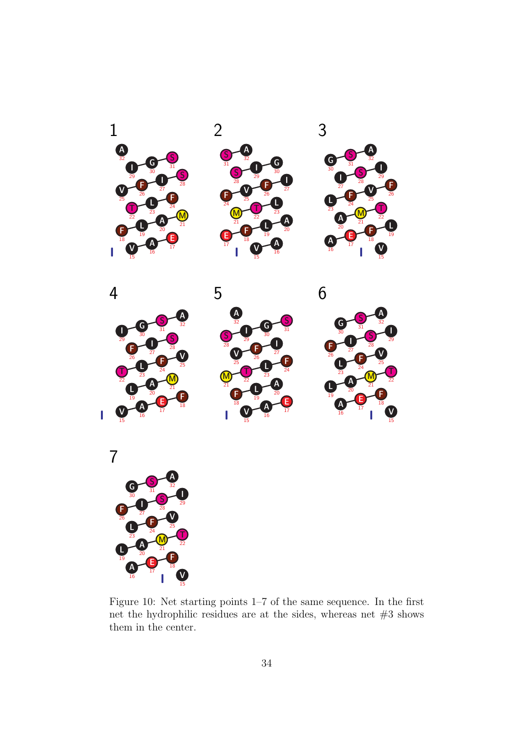

<span id="page-33-0"></span>Figure 10: Net starting points 1–7 of the same sequence. In the first net the hydrophilic residues are at the sides, whereas net #3 shows them in the center.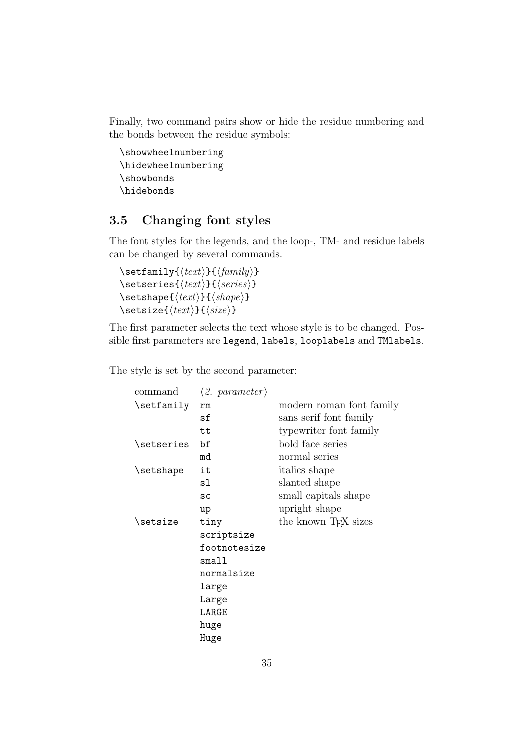Finally, two command pairs show or hide the residue numbering and the bonds between the residue symbols:

```
\showwheelnumbering
\hidewheelnumbering
\showbonds
\hidebonds
```
## <span id="page-34-0"></span>3.5 Changing font styles

The font styles for the legends, and the loop-, TM- and residue labels can be changed by several commands.

 $\setminus$ setfamily $\{\langle text \rangle\}$ { $\langle family \rangle\}$  $\setminus$ setseries{ $\langle text \rangle$ }{ $\langle series \rangle$ }  $\setminus$ setshape $\{\langle text \rangle\}$ { $\langle shape \rangle\}$ \setsize{ $\langle text \rangle$ }{ $\langle size \rangle$ }

The first parameter selects the text whose style is to be changed. Possible first parameters are legend, labels, looplabels and TMlabels.

| command            | $\langle 2.~~parameter \rangle$ |                                  |
|--------------------|---------------------------------|----------------------------------|
| \setfamily         | rm                              | modern roman font family         |
|                    | sf                              | sans serif font family           |
|                    | tt                              | typewriter font family           |
| \setseries         | bf                              | bold face series                 |
|                    | md                              | normal series                    |
| $\verb \setshape $ | it                              | <i>italics</i> shape             |
|                    | sl                              | slanted shape                    |
|                    | SC                              | small capitals shape             |
|                    | up                              | upright shape                    |
| \setsize           | tiny                            | the known T <sub>F</sub> X sizes |
|                    | scriptsize                      |                                  |
|                    | footnotesize                    |                                  |
|                    | small                           |                                  |
|                    | normalsize                      |                                  |
|                    | large                           |                                  |
|                    | Large                           |                                  |
|                    | LARGE                           |                                  |
|                    | huge                            |                                  |
|                    | Huge                            |                                  |

The style is set by the second parameter: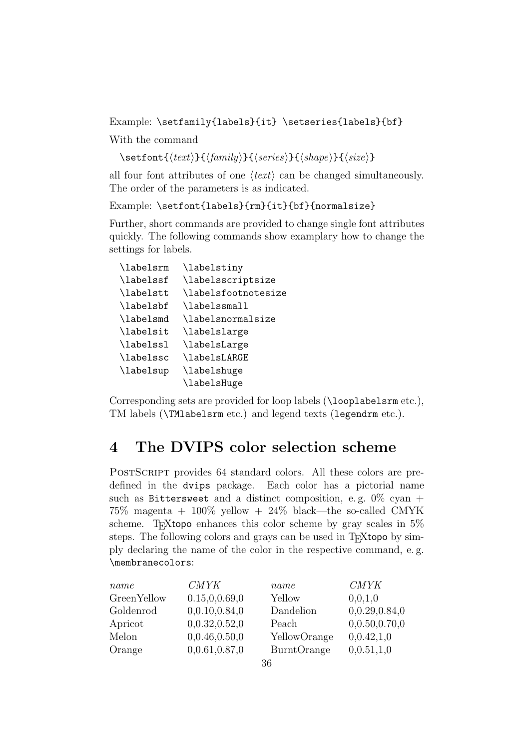Example: \setfamily{labels}{it} \setseries{labels}{bf}

With the command

 $\setminus \setminus \setminus \{ \text{text} \} \} \{ \text{sample} \} \} \{ \text{space} \} \}$ 

all four font attributes of one  $\langle text \rangle$  can be changed simultaneously. The order of the parameters is as indicated.

Example: \setfont{labels}{rm}{it}{bf}{normalsize}

Further, short commands are provided to change single font attributes quickly. The following commands show examplary how to change the settings for labels.

| \labelsrm | \labelstiny         |
|-----------|---------------------|
| \labelssf | \labelsscriptsize   |
| \labelstt | \labelsfootnotesize |
| \labelsbf | \labelssmall        |
| \labelsmd | \labelsnormalsize   |
| \labelsit | \labelslarge        |
| \labelssl | \labelsLarge        |
| \labelssc | \labelsLARGE        |
| \labelsup | \labelshuge         |
|           | \labelsHuge         |

Corresponding sets are provided for loop labels (\looplabelsrm etc.), TM labels (\TMlabelsrm etc.) and legend texts (legendrm etc.).

## <span id="page-35-0"></span>4 The DVIPS color selection scheme

POSTSCRIPT provides 64 standard colors. All these colors are predefined in the dvips package. Each color has a pictorial name such as Bittersweet and a distinct composition, e.g.  $0\%$  cyan +  $75\%$  magenta +  $100\%$  yellow +  $24\%$  black—the so-called CMYK scheme. T<sub>EX</sub>topo enhances this color scheme by gray scales in  $5\%$ steps. The following colors and grays can be used in T<sub>E</sub>Xtopo by simply declaring the name of the color in the respective command, e. g. \membranecolors:

| name               | <i>CMYK</i>     | name               | <b>CMYK</b>   |
|--------------------|-----------------|--------------------|---------------|
| <b>GreenYellow</b> | 0.15, 0.0.69, 0 | Yellow             | 0,0,1,0       |
| Goldenrod          | 0,0.10,0.84,0   | Dandelion          | 0,0.29,0.84,0 |
| Apricot            | 0,0.32,0.52,0   | Peach              | 0,0.50,0.70,0 |
| Melon              | 0,0.46,0.50,0   | YellowOrange       | 0,0.42,1,0    |
| Orange             | 0,0.61,0.87,0   | <b>BurntOrange</b> | 0,0.51,1,0    |
|                    |                 |                    |               |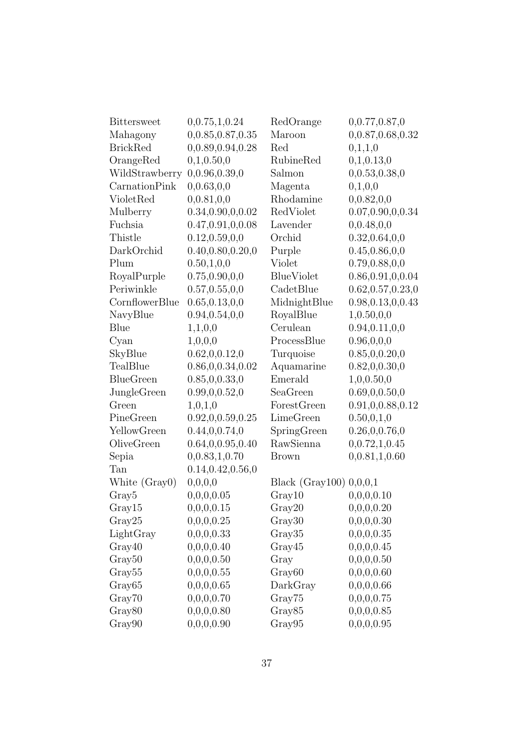| <b>Bittersweet</b> | 0,0.75,1,0.24       | RedOrange                 | 0,0.77,0.87,0       |
|--------------------|---------------------|---------------------------|---------------------|
| Mahagony           | 0,0.85,0.87,0.35    | Maroon                    | 0,0.87,0.68,0.32    |
| <b>BrickRed</b>    | 0,0.89,0.94,0.28    | Red                       | 0,1,1,0             |
| OrangeRed          | 0,1,0.50,0          | RubineRed                 | 0,1,0.13,0          |
| WildStrawberry     | 0,0.96,0.39,0       | Salmon                    | 0,0.53,0.38,0       |
| CarnationPink      | 0,0.63,0,0          | Magenta                   | 0,1,0,0             |
| VioletRed          | 0,0.81,0,0          | Rhodamine                 | 0,0.82,0,0          |
| Mulberry           | 0.34, 0.90, 0.0.02  | RedViolet                 | 0.07, 0.90, 0.0.34  |
| Fuchsia            | 0.47, 0.91, 0.0.08  | Lavender                  | 0,0.48,0,0          |
| Thistle            | 0.12, 0.59, 0.0     | Orchid                    | 0.32, 0.64, 0, 0    |
| DarkOrchid         | 0.40, 0.80, 0.20, 0 | Purple                    | 0.45, 0.86, 0, 0    |
| Plum               | 0.50, 1, 0, 0       | Violet                    | 0.79, 0.88, 0, 0    |
| RoyalPurple        | 0.75, 0.90, 0.0     | <b>BlueViolet</b>         | 0.86, 0.91, 0, 0.04 |
| Periwinkle         | 0.57, 0.55, 0, 0    | CadetBlue                 | 0.62, 0.57, 0.23, 0 |
| CornflowerBlue     | 0.65, 0.13, 0.0     | MidnightBlue              | 0.98, 0.13, 0, 0.43 |
| NavyBlue           | 0.94, 0.54, 0.0     | RoyalBlue                 | 1,0.50,0,0          |
| Blue               | 1,1,0,0             | Cerulean                  | 0.94, 0.11, 0, 0    |
| Cyan               | 1,0,0,0             | ProcessBlue               | 0.96, 0.0, 0        |
| SkyBlue            | 0.62, 0.0.12, 0     | Turquoise                 | 0.85, 0, 0.20, 0    |
| TealBlue           | 0.86, 0.0.34, 0.02  | Aquamarine                | 0.82, 0.0.30, 0     |
| <b>BlueGreen</b>   | 0.85, 0, 0.33, 0    | Emerald                   | 1,0,0.50,0          |
| JungleGreen        | 0.99, 0.0.52, 0     | SeaGreen                  | 0.69, 0.0.50, 0.    |
| Green              | 1,0,1,0             | ForestGreen               | 0.91, 0.0.88, 0.12  |
| PineGreen          | 0.92, 0.0.59, 0.25  | LimeGreen                 | 0.50, 0.1, 0        |
| YellowGreen        | 0.44, 0, 0.74, 0    | SpringGreen               | 0.26, 0.0.76, 0     |
| OliveGreen         | 0.64, 0.0.95, 0.40  | RawSienna                 | 0, 0.72, 1, 0.45    |
| Sepia              | 0,0.83,1,0.70       | <b>Brown</b>              | 0,0.81,1,0.60       |
| Tan                | 0.14, 0.42, 0.56, 0 |                           |                     |
| White (Gray0)      | 0,0,0,0             | Black (Gray100) $0,0,0,1$ |                     |
| Gray <sub>5</sub>  | 0,0,0,0.05          | Gray10                    | 0,0,0,0.10          |
| Gray15             | 0,0,0,0.15          | Gray20                    | 0,0,0,0.20          |
| Gray25             | 0,0,0,0.25          | Gray30                    | 0,0,0,0.30          |
| LightGray          | 0,0,0,0.33          | Gray35                    | 0,0,0,0.35          |
| Gray40             | 0,0,0,0.40          | Gray45                    | 0,0,0,0.45          |
| Gray <sub>50</sub> | 0,0,0,0.50          | Gray                      | 0,0,0,0.50          |
| Gray <sub>55</sub> | 0,0,0,0.55          | Gray <sub>60</sub>        | 0,0,0,0.60          |
| Gray <sub>65</sub> | 0,0,0,0.65          | DarkGray                  | 0,0,0,0.66          |
| Gray70             | 0,0,0,0.70          | Gray75                    | 0,0,0,0.75          |
| Gray <sub>80</sub> | 0,0,0,0.80          | Gray <sub>85</sub>        | 0,0,0,0.85          |
| Gray90             | 0,0,0,0.90          | Gray95                    | 0,0,0,0.95          |
|                    |                     |                           |                     |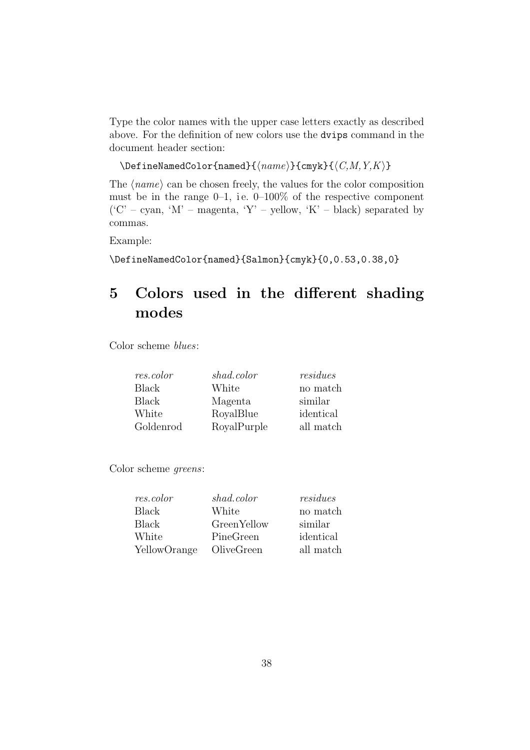Type the color names with the upper case letters exactly as described above. For the definition of new colors use the dvips command in the document header section:

```
\DeltaPefineNamedColor{named}{\langle name \rangle}{cmyk}{\langle C, M, Y, K \rangle}
```
The  $\langle name \rangle$  can be chosen freely, the values for the color composition must be in the range  $0-1$ , i.e.  $0-100\%$  of the respective component  $({}^{\prime}C'$  – cyan,  ${}^{\prime}M'$  – magenta,  ${}^{\prime}Y'$  – yellow,  ${}^{\prime}K'$  – black) separated by commas.

Example:

\DefineNamedColor{named}{Salmon}{cmyk}{0,0.53,0.38,0}

# <span id="page-37-0"></span>5 Colors used in the different shading modes

Color scheme blues:

| res.color    | shad.color  | residues  |
|--------------|-------------|-----------|
| <b>Black</b> | White       | no match  |
| <b>Black</b> | Magenta     | similar   |
| White        | RoyalBlue   | identical |
| Goldenrod    | RoyalPurple | all match |

Color scheme greens:

| res.color    | shad.color  | residues  |
|--------------|-------------|-----------|
| <b>Black</b> | White       | no match  |
| <b>Black</b> | GreenYellow | similar   |
| White        | PineGreen   | identical |
| YellowOrange | OliveGreen  | all match |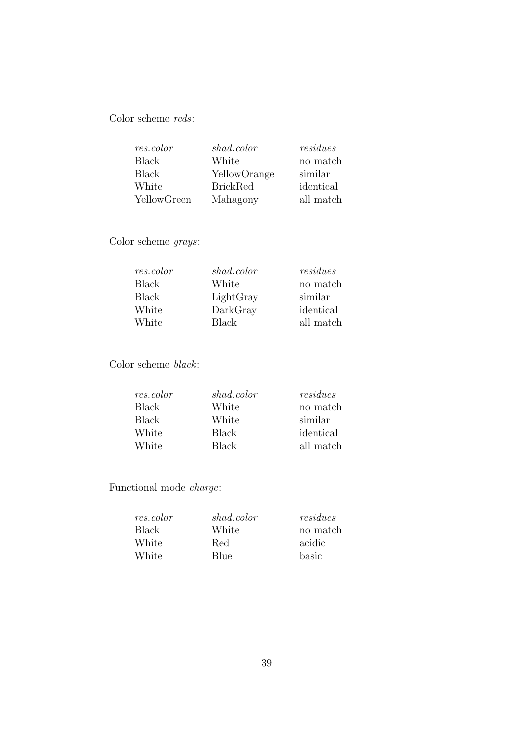Color scheme reds:

| res.color    | shad.color      | residues  |
|--------------|-----------------|-----------|
| <b>Black</b> | White           | no match  |
| Black        | YellowOrange    | similar   |
| White        | <b>BrickRed</b> | identical |
| YellowGreen  | Mahagony        | all match |

Color scheme grays:

| res.color    | shad.color | residues  |
|--------------|------------|-----------|
| <b>Black</b> | White      | no match  |
| <b>Black</b> | LightGray  | similar   |
| White        | DarkGray   | identical |
| White        | Black      | all match |

Color scheme black:

| res.color    | shad.color | residues  |
|--------------|------------|-----------|
| Black        | White      | no match  |
| <b>Black</b> | White      | similar   |
| White        | Black      | identical |
| White        | Black      | all match |

Functional mode charge:

| shad.color | residues |
|------------|----------|
| White      | no match |
| Red        | acidic   |
| Blue       | basic    |
|            |          |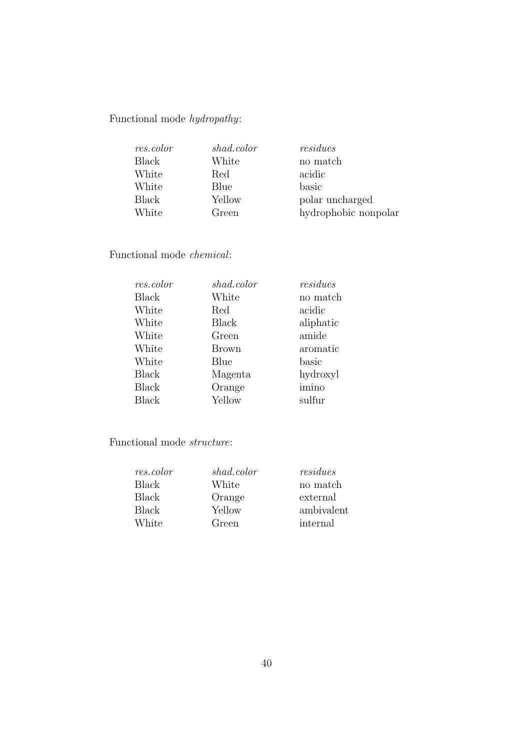Functional mode  $hydropathy$ :

| res.color    | shad.color | residues             |
|--------------|------------|----------------------|
| <b>Black</b> | White      | no match             |
| White        | Red        | acidic               |
| White        | Blue       | basic                |
| <b>Black</b> | Yellow     | polar uncharged      |
| White        | Green      | hydrophobic nonpolar |

Functional mode chemical:

| res.color    | shad.color   | residues  |
|--------------|--------------|-----------|
| <b>Black</b> | White        | no match  |
| White        | Red          | acidic    |
| White        | <b>Black</b> | aliphatic |
| White        | Green        | amide     |
| White        | <b>Brown</b> | aromatic  |
| White        | Blue         | basic     |
| <b>Black</b> | Magenta      | hydroxyl  |
| <b>Black</b> | Orange       | imino     |
| <b>Black</b> | Yellow       | sulfur    |

Functional mode structure:

| res.color    | shad.color | residues   |
|--------------|------------|------------|
| Black        | White      | no match   |
| Black        | Orange     | external   |
| <b>Black</b> | Yellow     | ambivalent |
| White        | Green      | internal   |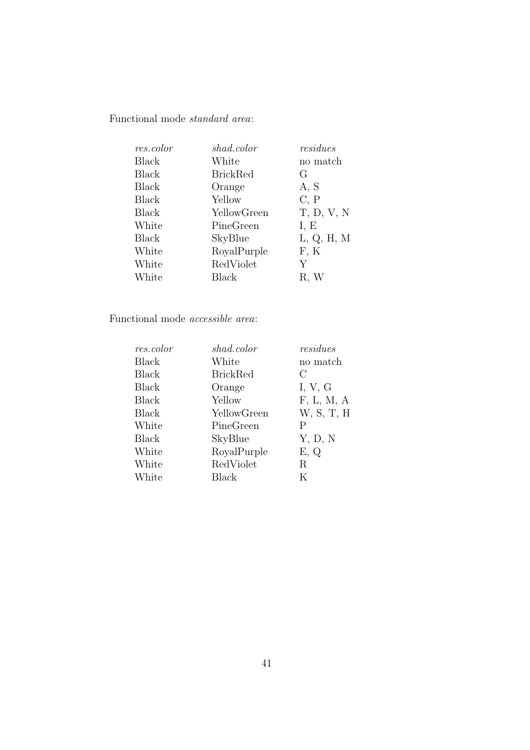Functional mode standard area:

| res.color    | shad.color      | residues   |
|--------------|-----------------|------------|
| <b>Black</b> | White           | no match   |
| <b>Black</b> | <b>BrickRed</b> | G          |
| <b>Black</b> | Orange          | A, S       |
| <b>Black</b> | Yellow          | C, P       |
| <b>Black</b> | YellowGreen     | T, D, V, N |
| White        | PineGreen       | I, E       |
| <b>Black</b> | SkyBlue         | L, Q, H, M |
| White        | RoyalPurple     | F, K       |
| White        | RedViolet       | Y          |
| White        | Black           | R, W       |

## Functional mode accessible area:

| res.color    | shad.color      | residues     |
|--------------|-----------------|--------------|
| <b>Black</b> | White           | no match     |
| <b>Black</b> | <b>BrickRed</b> | С            |
| <b>Black</b> | Orange          | I, $V$ , $G$ |
| <b>Black</b> | Yellow          | F, L, M, A   |
| <b>Black</b> | YellowGreen     | W, S, T, H   |
| White        | PineGreen       | Ρ            |
| <b>Black</b> | SkyBlue         | Y, D, N      |
| White        | RoyalPurple     | E, Q         |
| White        | RedViolet       | R            |
| White        | Black           | K            |
|              |                 |              |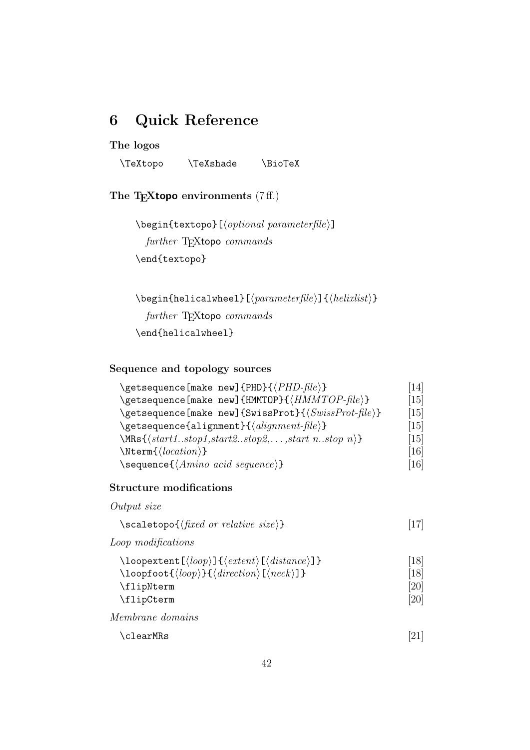# <span id="page-41-0"></span>6 Quick Reference

## The logos

\TeXtopo \TeXshade \BioTeX

The T<sub>E</sub>Xtopo environments  $(7ff.)$  $(7ff.)$ 

 $\begin{equation*} \begin{bmatrix} (optional \ parameter file) \end{bmatrix} \end{equation*}$ further TEXtopo commands \end{textopo}

 $\begin{equation*}$  \begin{helicalwheel}[ $\{parameterfile\}$ ]{ $\{helixlist\}$ } further TFXtopo commands \end{helicalwheel}

## Sequence and topology sources

| \getsequence[make new]{PHD}{\/PHD-file}}                                                                             | [14]              |
|----------------------------------------------------------------------------------------------------------------------|-------------------|
| \getsequence[make new]{HMMTOP}{\/HMMTOP-file}}                                                                       | $\left[15\right]$ |
| $\setminus$ getsequence[make new]{SwissProt}{ $\langle SwissProt-flle \rangle$ }                                     | $\left[15\right]$ |
| $\setminus$ getsequence{alignment}{ $\langle alignment$ -file}}                                                      | $\left[15\right]$ |
| $\{\text{start1} \dots \text{stop1}, \text{start2} \dots \text{stop2}, \dots, \text{start n} \dots \text{stop n}\}\$ | $\left[15\right]$ |
| $\text{Nterm}\{\langle location \rangle\}$                                                                           | $[16]$            |
| $\setminus$ sequence $\{\langle Amino \; acid \; sequence \rangle\}$                                                 | $[16]$            |

## Structure modifications

| $\simeq \simeq \frac{1}{\text{fixed or relative size}}$ | [17] |
|---------------------------------------------------------|------|
|                                                         |      |

Loop modifications

Output size

| $\lozenge$ loopextent $\lceil \langle loop \rangle \rceil \{ \langle extent \rangle \lceil \langle distance \rangle \rceil \}$ | $^{\lceil}18\rceil$ |
|--------------------------------------------------------------------------------------------------------------------------------|---------------------|
| $\lozenge$ loopfoot $\{ \langle loop \rangle \} \{ \langle direction \rangle [\langle neck \rangle] \}$                        | [18]                |
| \flipNterm                                                                                                                     | [20]                |
| \flipCterm                                                                                                                     | [20]                |
|                                                                                                                                |                     |

Membrane domains

| \clearMRs | [21] |
|-----------|------|
|-----------|------|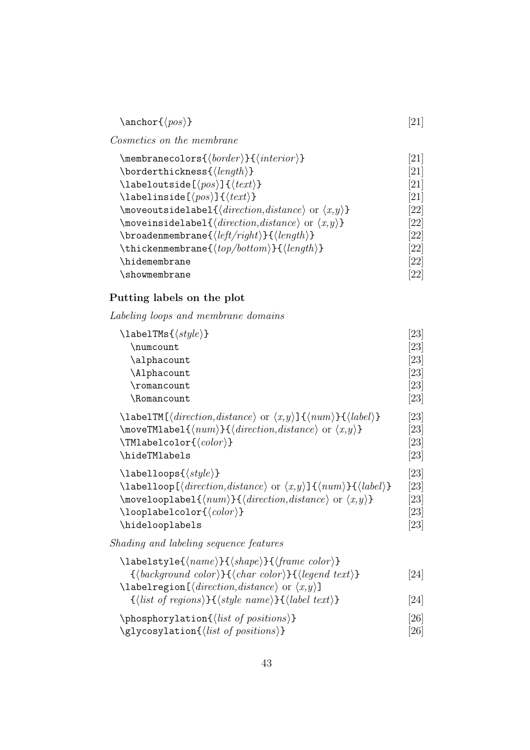| $\text{onefor}\{\langle pos \rangle\}$ | [21] |
|----------------------------------------|------|
|                                        |      |

Cosmetics on the membrane  $\text{number}$  colors $\{\text{head}(k) \}$   $\{\text{initial}\}$ 

| $\verb \membranecolors $ {border} } { { nterior } }                                                 | 12 L I             |
|-----------------------------------------------------------------------------------------------------|--------------------|
| $\backslash$ borderthickness $\{\langle \text{length} \rangle\}$                                    | [21]               |
| \labeloutside[ $\langle pos \rangle$ ]{ $\langle text \rangle$ }                                    | [21]               |
| \labelinside[ $\langle pos \rangle$ ]{ $\langle text \rangle$ }                                     | [21]               |
| \moveoutsidelabel{ $\langle direction,distance\rangle$ or $\langle x,y\rangle$ }                    | [22]               |
| \moveinsidelabel{ $\langle direction,distance\rangle$ or $\langle x,y\rangle$ }                     | $\left[ 22\right]$ |
| $\text{broadenmembrane} \langle \text{left} / right \rangle \} \{ \langle \text{length} \rangle \}$ | [22]               |
| \thickenmembrane $\{\langle top/bottom\rangle\}\{\langle length\rangle\}$                           | [22]               |
| \hidemembrane                                                                                       | [22]               |
| \showmembrane                                                                                       | [22]               |
|                                                                                                     |                    |

## Putting labels on the plot

Labeling loops and membrane domains

| $\lambda$ labelTMs $\{\langle style\rangle\}$                                                                                            | $\left[ 23\right]$ |
|------------------------------------------------------------------------------------------------------------------------------------------|--------------------|
| \numcount                                                                                                                                | [23]               |
| \alphacount                                                                                                                              | $\left[ 23\right]$ |
| \Alphacount                                                                                                                              | $\left[ 23\right]$ |
| \romancount                                                                                                                              | $\left[ 23\right]$ |
| \Romancount                                                                                                                              | $\left[ 23\right]$ |
| \labelTM[ $\langle direction,distance\rangle$ or $\langle x,y\rangle$ ]{ $\langle num\rangle$ }{ $\langle label\rangle$ }                | [23]               |
| \moveTMlabel{ $\langle num \rangle$ }{ $\langle direction, distance \rangle$ or $\langle x, y \rangle$ }                                 | $\left[ 23\right]$ |
| $\{\text{CMlabelcolor}\}$                                                                                                                | $\left[ 23\right]$ |
| \hideTMlabels                                                                                                                            | $\left[ 23\right]$ |
| $\lambda$ labelloops $\{\langle style\rangle\}$                                                                                          | $\left[ 23\right]$ |
| $\lambda$ labelloop[ $\langle direction,distance\rangle$ or $\langle x,y\rangle$ ] $\{\langle num\rangle\}$ } $\{\langle label\rangle\}$ | $\left[ 23\right]$ |
| \movelooplabel{ $\langle num \rangle$ }{ $\langle direction, distance \rangle$ or $\langle x, y \rangle$ }                               | [23]               |
| $\lozenge$ looplabelcolor $\{ \langle color \rangle \}$                                                                                  | $\left[ 23\right]$ |
| \hidelooplabels                                                                                                                          | $\left[ 23\right]$ |

Shading and labeling sequence features

| $\{\langle name \rangle\} \{\langle shape \rangle\} \{\langle frame\ color \rangle\}$               |                    |
|-----------------------------------------------------------------------------------------------------|--------------------|
| $\{\langle background\ color\rangle\}\{\langle char\ color\rangle\}\{\langle legend\ text\rangle\}$ | $\left[ 24\right]$ |
| $\lambda$ labelregion [ $\langle direction, distance \rangle$ or $\langle x, y \rangle$ ]           |                    |
| $\{\langle list\ of\ regions\rangle\}\{\langle style\ name\rangle\}\{\langle label\ text\rangle\}\$ | $\left[ 24\right]$ |
| $\b>$ phosphorylation{ $\langle$ <i>list of positions</i> }}                                        | [26]               |
| $\gtrsim$ glycosylation $\{\langle list\ of\ positions\rangle\}$                                    | [26]               |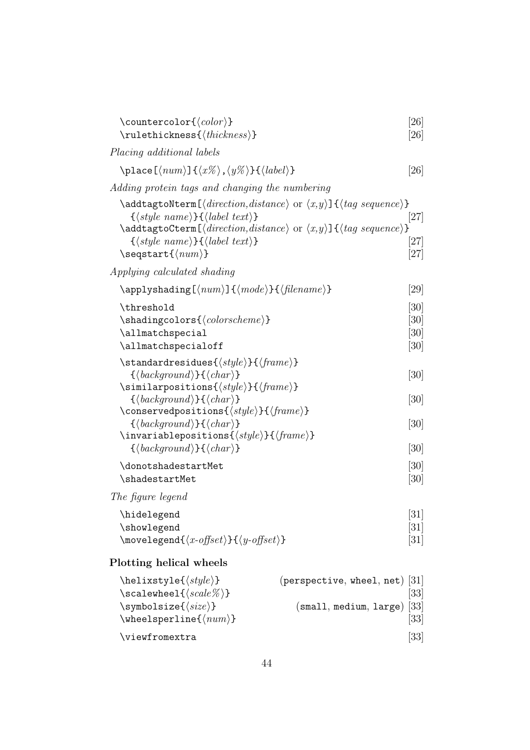| \countercolor{ $\langle color \rangle$ }<br>$\texttt{\textbf{}}(\textit{thickness})$                                                                                                                                                                                                                                                                                                                                         | [26]<br>[26]                                   |
|------------------------------------------------------------------------------------------------------------------------------------------------------------------------------------------------------------------------------------------------------------------------------------------------------------------------------------------------------------------------------------------------------------------------------|------------------------------------------------|
| Placing additional labels                                                                                                                                                                                                                                                                                                                                                                                                    |                                                |
| $\Phi(\langle num \rangle] \{\langle x\% \rangle, \langle y\% \rangle\} \{\langle label \rangle\}$                                                                                                                                                                                                                                                                                                                           | [26]                                           |
| Adding protein tags and changing the numbering                                                                                                                                                                                                                                                                                                                                                                               |                                                |
| $\ad$ ddtagtoNterm[ $\langle direction,distance\rangle$ or $\langle x,y\rangle$ ] $\{tag\;sequence\}$<br>$\{\langle style \ name \rangle\}\{\langle label \ text \rangle\}\$<br>$\adot$ dagtoCterm[ $\langle direction,distance\rangle$ or $\langle x,y\rangle$ ]{ $\langle tag\ sequence\rangle$ }<br>$\{\langle style \ name \rangle\}\{\langle label \ text \rangle\}\$<br>$\setminus$ seqstart $\{\langle num \rangle\}$ | 27 <br>[27]<br>[27]                            |
| Applying calculated shading                                                                                                                                                                                                                                                                                                                                                                                                  |                                                |
| $\{\alpha\}\$ { $\langle num \rangle$ ]{ $\langle mode \rangle$ }{ $\langle filename \rangle$ }                                                                                                                                                                                                                                                                                                                              | [29]                                           |
| \threshold<br>$\verb \shadingcolors{ \ncolorscheme}{$<br>\allmatchspecial<br>\allmatchspecialoff                                                                                                                                                                                                                                                                                                                             | [30]<br>[30]<br>[30]<br>[30]                   |
| $\setminus$ standardresidues $\{ \langle style \rangle \} \} \{ \langle frame \rangle \}$<br>$\{\langle background \rangle\}\{\langle char \rangle\}$<br>$\sinilarpositions({style}) {\f(frame)}$<br>$\{\langle background \rangle\}\{\langle char \rangle\}$<br>$\verb \conservedpositions{ \n{style}{\}{}  {\n{frame}}\n}$                                                                                                 | [30]<br>$\left[30\right]$                      |
| $\{\langle background \rangle\}\{\langle char \rangle\}$<br>\invariablepositions{ $\langle style\rangle$ }{ $\langle frame\rangle$ }<br>$\{\langle background \rangle\}\{\langle char \rangle\}$                                                                                                                                                                                                                             | [30]<br>[30]                                   |
| \donotshadestartMet<br>\shadestartMet                                                                                                                                                                                                                                                                                                                                                                                        | [30]<br>$\left[30\right]$                      |
| The figure legend                                                                                                                                                                                                                                                                                                                                                                                                            |                                                |
| \hidelegend<br>\showlegend<br>$\mbox{\normalfont\textsf{model}}{x\text{-}offset}$ } { $\langle y\text{-}offset\rangle$ }                                                                                                                                                                                                                                                                                                     | $[31]$<br>[31]<br>$\left[31\right]$            |
| Plotting helical wheels                                                                                                                                                                                                                                                                                                                                                                                                      |                                                |
| $\hbox{\texttt{style}}(\textit{style})\}$<br>(perspective, wheel, net) $ 31 $<br>$\verb \scalewheel{ \:scale\%}{$<br>\symbolsize{ $\langle size \rangle$ }<br>(smal1, medium, large)<br>$\text{wherelsperline}\{\langle num \rangle\}$                                                                                                                                                                                       | $\left[33\right]$<br>$\left[33\right]$<br>[33] |

 $\label{eq:1.1} \texttt{\textbf{V}iewfromextra} \tag{33}$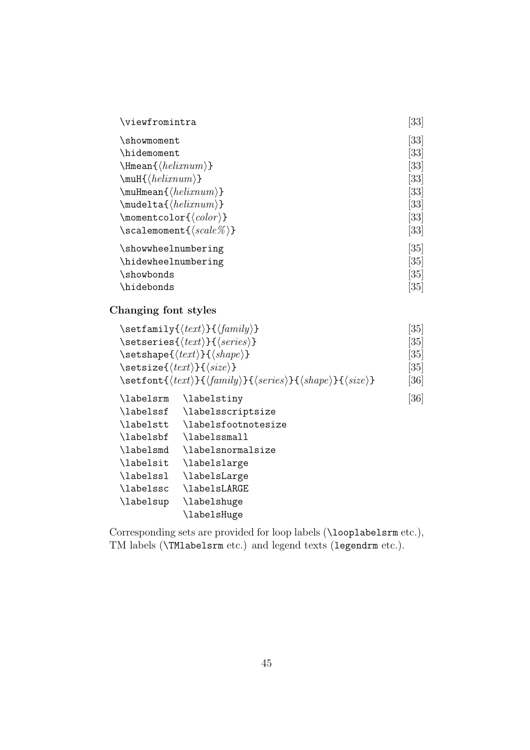| \viewfromintra                                          | [33]               |
|---------------------------------------------------------|--------------------|
| \showmoment                                             | $\left[ 33\right]$ |
| \hidemoment                                             | [33]               |
| $\verb \Hmean{< helixnum\rangle} $                      | [33]               |
| $\mu$ H{ $\{helixnum\}$ }                               | [33]               |
| $\mathcal{h}$ elixnum}}                                 | [33]               |
| $\mathcal{h}_\text{mult}(\text{helixnum})$              | $\left[ 33\right]$ |
| $\mbox{momentcolor}\langle color\rangle\}$              | [33]               |
| $\setminus$ scalemoment $\set{\langle scale\% \rangle}$ | [33]               |
| \showwheelnumbering                                     | [35]               |
| \hidewheelnumbering                                     | [35]               |
| \showbonds                                              | [35]               |
| \hidebonds                                              | $\left[ 35\right]$ |

Changing font styles

|           | $\setminus \setminus \setminus \setminus \{ \text{text} \} \}$                                                                                  | [35]               |
|-----------|-------------------------------------------------------------------------------------------------------------------------------------------------|--------------------|
|           | $\setminus$ setseries $\{\langle text \rangle\}$ $\{\langle series \rangle\}$                                                                   | $\left[ 35\right]$ |
|           | $\setminus$ setshape $\{\langle text \rangle\}$ $\{\langle shape \rangle\}$                                                                     | $\left[ 35\right]$ |
|           | $\setminus$ setsize $\{\langle text \rangle\}$ $\{\langle size \rangle\}$                                                                       | $\left[ 35\right]$ |
|           | \setfont{ $\langle text \rangle$ }{ $\langle family \rangle$ }{ $\langle series \rangle$ }{ $\langle shape \rangle$ }{ $\langle size \rangle$ } | [36]               |
| \labelsrm | \labelstiny                                                                                                                                     | [36]               |
| \labelssf | \labelsscriptsize                                                                                                                               |                    |
| \labelstt | \labelsfootnotesize                                                                                                                             |                    |
| \labelsbf | \labelssmall                                                                                                                                    |                    |
| \labelsmd | \labelsnormalsize                                                                                                                               |                    |
| \labelsit | \labelslarge                                                                                                                                    |                    |
| \labelssl | \labelsLarge                                                                                                                                    |                    |
| \labelssc | \labelsLARGE                                                                                                                                    |                    |
| \labelsup | \labelshuge                                                                                                                                     |                    |
|           | \labelsHuge                                                                                                                                     |                    |

Corresponding sets are provided for loop labels (\looplabelsrm etc.), TM labels (\TMlabelsrm etc.) and legend texts (legendrm etc.).